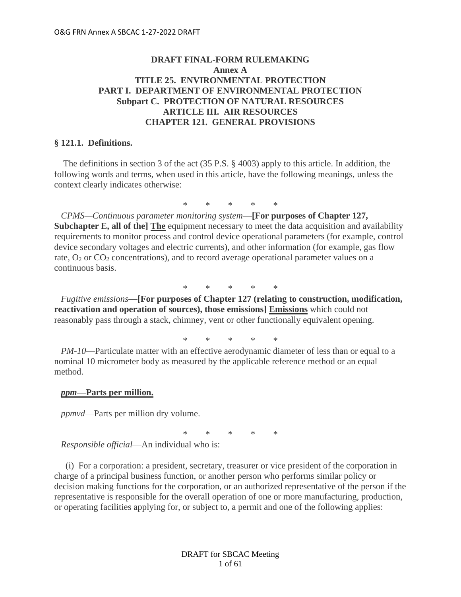# **DRAFT FINAL-FORM RULEMAKING Annex A TITLE 25. ENVIRONMENTAL PROTECTION PART I. DEPARTMENT OF ENVIRONMENTAL PROTECTION Subpart C. PROTECTION OF NATURAL RESOURCES ARTICLE III. AIR RESOURCES CHAPTER 121. GENERAL PROVISIONS**

## **§ 121.1. Definitions.**

The definitions in section 3 of the act (35 P.S. § 4003) apply to this article. In addition, the following words and terms, when used in this article, have the following meanings, unless the context clearly indicates otherwise:

\* \* \* \* \*

 *CPMS—Continuous parameter monitoring system*—**[For purposes of Chapter 127, Subchapter E, all of the] The** equipment necessary to meet the data acquisition and availability requirements to monitor process and control device operational parameters (for example, control device secondary voltages and electric currents), and other information (for example, gas flow rate,  $O_2$  or  $CO_2$  concentrations), and to record average operational parameter values on a continuous basis.

\* \* \* \* \*

 *Fugitive emissions*—**[For purposes of Chapter 127 (relating to construction, modification, reactivation and operation of sources), those emissions] Emissions** which could not reasonably pass through a stack, chimney, vent or other functionally equivalent opening.

\* \* \* \* \*

 *PM-10*—Particulate matter with an effective aerodynamic diameter of less than or equal to a nominal 10 micrometer body as measured by the applicable reference method or an equal method.

#### *ppm***—Parts per million.**

 *ppmvd*—Parts per million dry volume.

\* \* \* \* \*

 *Responsible official*—An individual who is:

 (i) For a corporation: a president, secretary, treasurer or vice president of the corporation in charge of a principal business function, or another person who performs similar policy or decision making functions for the corporation, or an authorized representative of the person if the representative is responsible for the overall operation of one or more manufacturing, production, or operating facilities applying for, or subject to, a permit and one of the following applies: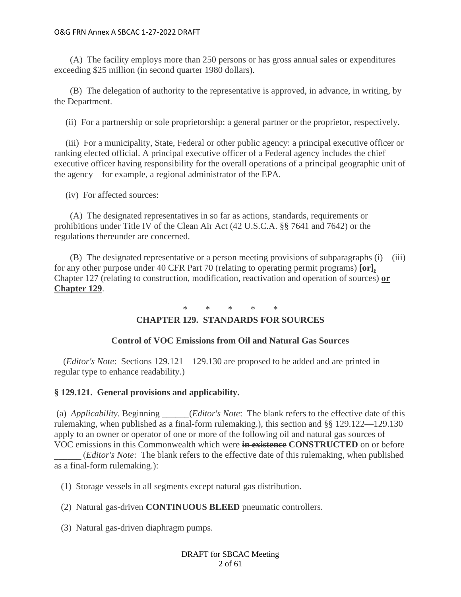(A) The facility employs more than 250 persons or has gross annual sales or expenditures exceeding \$25 million (in second quarter 1980 dollars).

 (B) The delegation of authority to the representative is approved, in advance, in writing, by the Department.

(ii) For a partnership or sole proprietorship: a general partner or the proprietor, respectively.

 (iii) For a municipality, State, Federal or other public agency: a principal executive officer or ranking elected official. A principal executive officer of a Federal agency includes the chief executive officer having responsibility for the overall operations of a principal geographic unit of the agency—for example, a regional administrator of the EPA.

(iv) For affected sources:

 (A) The designated representatives in so far as actions, standards, requirements or prohibitions under Title IV of the Clean Air Act (42 U.S.C.A. §§ 7641 and 7642) or the regulations thereunder are concerned.

 (B) The designated representative or a person meeting provisions of subparagraphs (i)—(iii) for any other purpose under 40 CFR Part 70 (relating to operating permit programs) **[or],** Chapter 127 (relating to construction, modification, reactivation and operation of sources) **or Chapter 129**.

\* \* \* \* \*

# **CHAPTER 129. STANDARDS FOR SOURCES**

## **Control of VOC Emissions from Oil and Natural Gas Sources**

(*Editor's Note*: Sections 129.121—129.130 are proposed to be added and are printed in regular type to enhance readability.)

## **§ 129.121. General provisions and applicability.**

(a) *Applicability*. Beginning **\_\_\_\_\_\_**(*Editor's Note*: The blank refers to the effective date of this rulemaking, when published as a final-form rulemaking.), this section and §§ 129.122—129.130 apply to an owner or operator of one or more of the following oil and natural gas sources of VOC emissions in this Commonwealth which were **in existence CONSTRUCTED** on or before

\_\_\_\_\_\_ (*Editor's Note*: The blank refers to the effective date of this rulemaking, when published as a final-form rulemaking.):

(1) Storage vessels in all segments except natural gas distribution.

(2) Natural gas-driven **CONTINUOUS BLEED** pneumatic controllers.

(3) Natural gas-driven diaphragm pumps.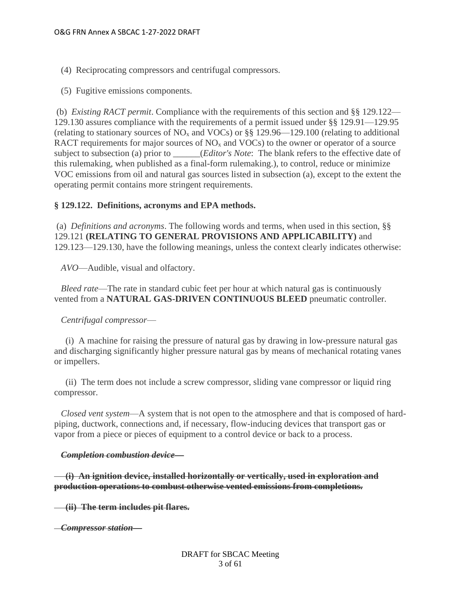- (4) Reciprocating compressors and centrifugal compressors.
- (5) Fugitive emissions components.

(b) *Existing RACT permit*. Compliance with the requirements of this section and §§ 129.122— 129.130 assures compliance with the requirements of a permit issued under §§ 129.91—129.95 (relating to stationary sources of  $NO<sub>x</sub>$  and VOCs) or §§ 129.96—129.100 (relating to additional RACT requirements for major sources of  $NO<sub>x</sub>$  and VOCs) to the owner or operator of a source subject to subsection (a) prior to \_\_\_\_\_\_(*Editor's Note*: The blank refers to the effective date of this rulemaking, when published as a final-form rulemaking.), to control, reduce or minimize VOC emissions from oil and natural gas sources listed in subsection (a), except to the extent the operating permit contains more stringent requirements.

### **§ 129.122. Definitions, acronyms and EPA methods.**

(a) *Definitions and acronyms*. The following words and terms, when used in this section, §§ 129.121 **(RELATING TO GENERAL PROVISIONS AND APPLICABILITY)** and 129.123—129.130, have the following meanings, unless the context clearly indicates otherwise:

 *AVO*—Audible, visual and olfactory.

 *Bleed rate*—The rate in standard cubic feet per hour at which natural gas is continuously vented from a **NATURAL GAS-DRIVEN CONTINUOUS BLEED** pneumatic controller.

#### *Centrifugal compressor*—

 (i) A machine for raising the pressure of natural gas by drawing in low-pressure natural gas and discharging significantly higher pressure natural gas by means of mechanical rotating vanes or impellers.

 (ii) The term does not include a screw compressor, sliding vane compressor or liquid ring compressor.

 *Closed vent system*—A system that is not open to the atmosphere and that is composed of hardpiping, ductwork, connections and, if necessary, flow-inducing devices that transport gas or vapor from a piece or pieces of equipment to a control device or back to a process.

#### *Completion combustion device***—**

 **(i) An ignition device, installed horizontally or vertically, used in exploration and production operations to combust otherwise vented emissions from completions.**

 **(ii) The term includes pit flares.**

 *Compressor station***—**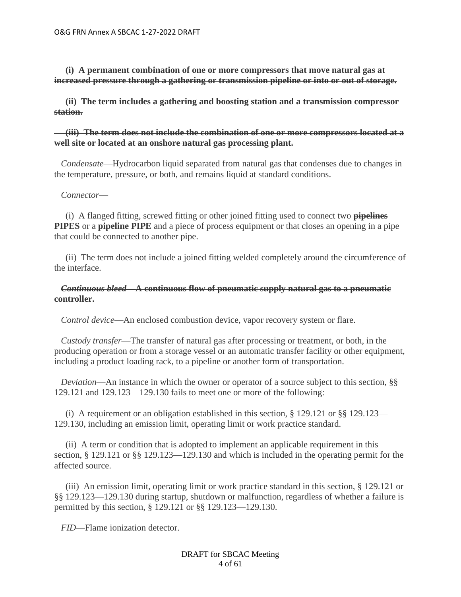**(i) A permanent combination of one or more compressors that move natural gas at increased pressure through a gathering or transmission pipeline or into or out of storage.**

 **(ii) The term includes a gathering and boosting station and a transmission compressor station.**

## **(iii) The term does not include the combination of one or more compressors located at a well site or located at an onshore natural gas processing plant.**

 *Condensate*—Hydrocarbon liquid separated from natural gas that condenses due to changes in the temperature, pressure, or both, and remains liquid at standard conditions.

## *Connector*—

 (i) A flanged fitting, screwed fitting or other joined fitting used to connect two **pipelines PIPES** or a **pipeline PIPE** and a piece of process equipment or that closes an opening in a pipe that could be connected to another pipe.

 (ii) The term does not include a joined fitting welded completely around the circumference of the interface.

## *Continuous bleed***—A continuous flow of pneumatic supply natural gas to a pneumatic controller.**

 *Control device*—An enclosed combustion device, vapor recovery system or flare.

 *Custody transfer*—The transfer of natural gas after processing or treatment, or both, in the producing operation or from a storage vessel or an automatic transfer facility or other equipment, including a product loading rack, to a pipeline or another form of transportation.

*Deviation*—An instance in which the owner or operator of a source subject to this section, §§ 129.121 and 129.123—129.130 fails to meet one or more of the following:

(i) A requirement or an obligation established in this section,  $\S$  129.121 or  $\S$ § 129.123— 129.130, including an emission limit, operating limit or work practice standard.

 (ii) A term or condition that is adopted to implement an applicable requirement in this section, § 129.121 or §§ 129.123—129.130 and which is included in the operating permit for the affected source.

 (iii) An emission limit, operating limit or work practice standard in this section, § 129.121 or §§ 129.123—129.130 during startup, shutdown or malfunction, regardless of whether a failure is permitted by this section, § 129.121 or §§ 129.123—129.130.

 *FID*—Flame ionization detector.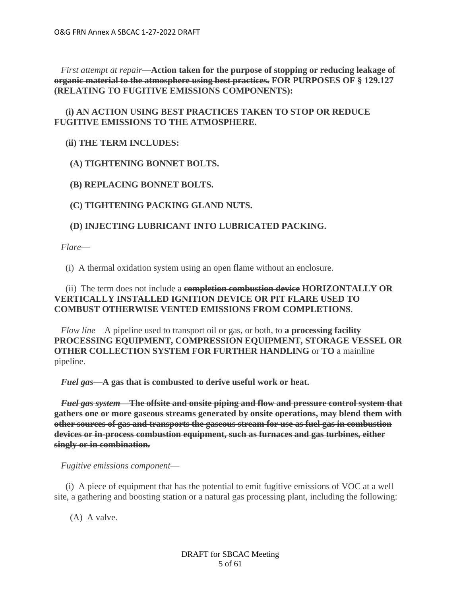*First attempt at repair*—**Action taken for the purpose of stopping or reducing leakage of organic material to the atmosphere using best practices. FOR PURPOSES OF § 129.127 (RELATING TO FUGITIVE EMISSIONS COMPONENTS):**

# **(i) AN ACTION USING BEST PRACTICES TAKEN TO STOP OR REDUCE FUGITIVE EMISSIONS TO THE ATMOSPHERE.**

# **(ii) THE TERM INCLUDES:**

 **(A) TIGHTENING BONNET BOLTS.**

 **(B) REPLACING BONNET BOLTS.**

 **(C) TIGHTENING PACKING GLAND NUTS.**

# **(D) INJECTING LUBRICANT INTO LUBRICATED PACKING.**

 *Flare*—

(i) A thermal oxidation system using an open flame without an enclosure.

# (ii) The term does not include a **completion combustion device HORIZONTALLY OR VERTICALLY INSTALLED IGNITION DEVICE OR PIT FLARE USED TO COMBUST OTHERWISE VENTED EMISSIONS FROM COMPLETIONS**.

 *Flow line*—A pipeline used to transport oil or gas, or both, to **a processing facility PROCESSING EQUIPMENT, COMPRESSION EQUIPMENT, STORAGE VESSEL OR OTHER COLLECTION SYSTEM FOR FURTHER HANDLING** or **TO** a mainline pipeline.

 *Fuel gas***—A gas that is combusted to derive useful work or heat.**

 *Fuel gas system***—The offsite and onsite piping and flow and pressure control system that gathers one or more gaseous streams generated by onsite operations, may blend them with other sources of gas and transports the gaseous stream for use as fuel gas in combustion devices or in-process combustion equipment, such as furnaces and gas turbines, either singly or in combination.**

 *Fugitive emissions component*—

 (i) A piece of equipment that has the potential to emit fugitive emissions of VOC at a well site, a gathering and boosting station or a natural gas processing plant, including the following:

(A) A valve.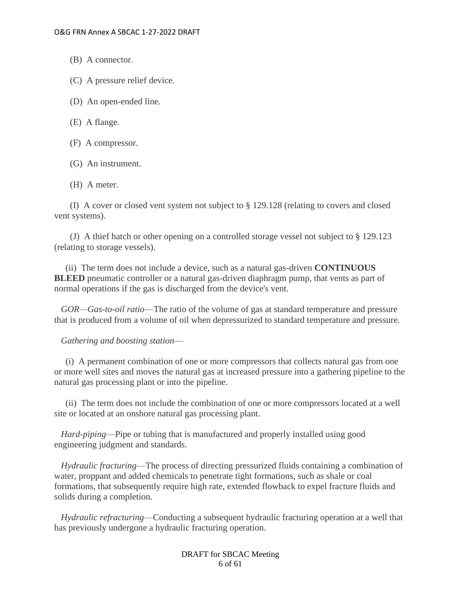- (B) A connector.
- (C) A pressure relief device.
- (D) An open-ended line.
- (E) A flange.
- (F) A compressor.
- (G) An instrument.
- (H) A meter.

 (I) A cover or closed vent system not subject to § 129.128 (relating to covers and closed vent systems).

 (J) A thief hatch or other opening on a controlled storage vessel not subject to § 129.123 (relating to storage vessels).

 (ii) The term does not include a device, such as a natural gas-driven **CONTINUOUS BLEED** pneumatic controller or a natural gas-driven diaphragm pump, that vents as part of normal operations if the gas is discharged from the device's vent.

 *GOR—Gas-to-oil ratio*—The ratio of the volume of gas at standard temperature and pressure that is produced from a volume of oil when depressurized to standard temperature and pressure.

 *Gathering and boosting station*—

 (i) A permanent combination of one or more compressors that collects natural gas from one or more well sites and moves the natural gas at increased pressure into a gathering pipeline to the natural gas processing plant or into the pipeline.

 (ii) The term does not include the combination of one or more compressors located at a well site or located at an onshore natural gas processing plant.

 *Hard-piping*—Pipe or tubing that is manufactured and properly installed using good engineering judgment and standards.

 *Hydraulic fracturing*—The process of directing pressurized fluids containing a combination of water, proppant and added chemicals to penetrate tight formations, such as shale or coal formations, that subsequently require high rate, extended flowback to expel fracture fluids and solids during a completion.

 *Hydraulic refracturing*—Conducting a subsequent hydraulic fracturing operation at a well that has previously undergone a hydraulic fracturing operation.

> DRAFT for SBCAC Meeting 6 of 61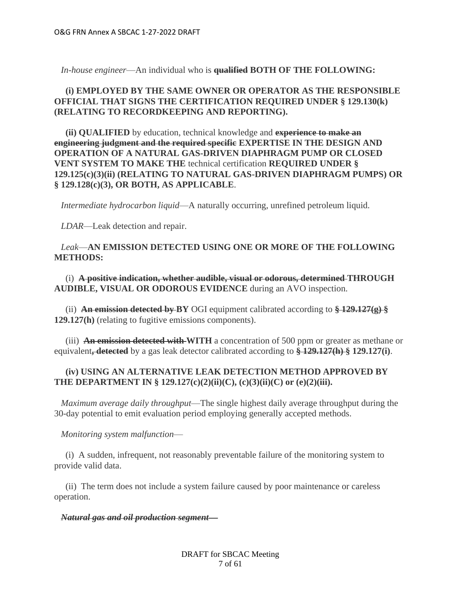*In-house engineer*—An individual who is **qualified BOTH OF THE FOLLOWING:**

# **(i) EMPLOYED BY THE SAME OWNER OR OPERATOR AS THE RESPONSIBLE OFFICIAL THAT SIGNS THE CERTIFICATION REQUIRED UNDER § 129.130(k) (RELATING TO RECORDKEEPING AND REPORTING).**

 **(ii) QUALIFIED** by education, technical knowledge and **experience to make an engineering judgment and the required specific EXPERTISE IN THE DESIGN AND OPERATION OF A NATURAL GAS-DRIVEN DIAPHRAGM PUMP OR CLOSED VENT SYSTEM TO MAKE THE** technical certification **REQUIRED UNDER § 129.125(c)(3)(ii) (RELATING TO NATURAL GAS-DRIVEN DIAPHRAGM PUMPS) OR § 129.128(c)(3), OR BOTH, AS APPLICABLE**.

 *Intermediate hydrocarbon liquid*—A naturally occurring, unrefined petroleum liquid.

 *LDAR*—Leak detection and repair.

## *Leak*—**AN EMISSION DETECTED USING ONE OR MORE OF THE FOLLOWING METHODS:**

 (i) **A positive indication, whether audible, visual or odorous, determined THROUGH AUDIBLE, VISUAL OR ODOROUS EVIDENCE** during an AVO inspection.

 (ii) **An emission detected by BY** OGI equipment calibrated according to **§ 129.127(g) § 129.127(h)** (relating to fugitive emissions components).

 (iii) **An emission detected with WITH** a concentration of 500 ppm or greater as methane or equivalent**, detected** by a gas leak detector calibrated according to **§ 129.127(h) § 129.127(i)**.

# **(iv) USING AN ALTERNATIVE LEAK DETECTION METHOD APPROVED BY THE DEPARTMENT IN § 129.127(c)(2)(ii)(C), (c)(3)(ii)(C) or (e)(2)(iii).**

 *Maximum average daily throughput*—The single highest daily average throughput during the 30-day potential to emit evaluation period employing generally accepted methods.

## *Monitoring system malfunction*—

 (i) A sudden, infrequent, not reasonably preventable failure of the monitoring system to provide valid data.

 (ii) The term does not include a system failure caused by poor maintenance or careless operation.

## *Natural gas and oil production segment***—**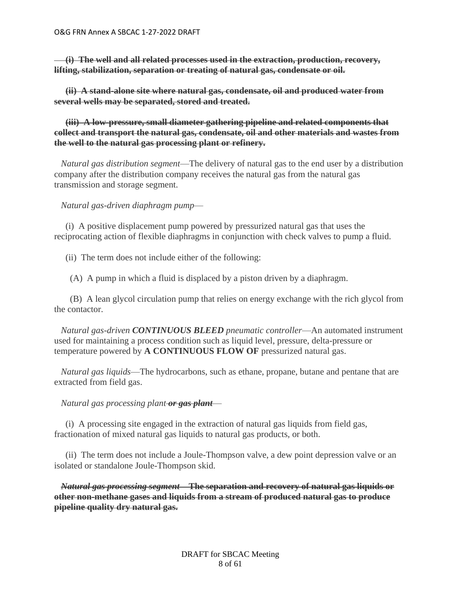**(i) The well and all related processes used in the extraction, production, recovery, lifting, stabilization, separation or treating of natural gas, condensate or oil.**

 **(ii) A stand-alone site where natural gas, condensate, oil and produced water from several wells may be separated, stored and treated.**

 **(iii) A low-pressure, small diameter gathering pipeline and related components that collect and transport the natural gas, condensate, oil and other materials and wastes from the well to the natural gas processing plant or refinery.**

 *Natural gas distribution segment*—The delivery of natural gas to the end user by a distribution company after the distribution company receives the natural gas from the natural gas transmission and storage segment.

 *Natural gas-driven diaphragm pump*—

 (i) A positive displacement pump powered by pressurized natural gas that uses the reciprocating action of flexible diaphragms in conjunction with check valves to pump a fluid.

(ii) The term does not include either of the following:

(A) A pump in which a fluid is displaced by a piston driven by a diaphragm.

 (B) A lean glycol circulation pump that relies on energy exchange with the rich glycol from the contactor.

 *Natural gas-driven CONTINUOUS BLEED pneumatic controller*—An automated instrument used for maintaining a process condition such as liquid level, pressure, delta-pressure or temperature powered by **A CONTINUOUS FLOW OF** pressurized natural gas.

 *Natural gas liquids*—The hydrocarbons, such as ethane, propane, butane and pentane that are extracted from field gas.

## *Natural gas processing plant or gas plant*—

 (i) A processing site engaged in the extraction of natural gas liquids from field gas, fractionation of mixed natural gas liquids to natural gas products, or both.

 (ii) The term does not include a Joule-Thompson valve, a dew point depression valve or an isolated or standalone Joule-Thompson skid.

 *Natural gas processing segment***—The separation and recovery of natural gas liquids or other non-methane gases and liquids from a stream of produced natural gas to produce pipeline quality dry natural gas.**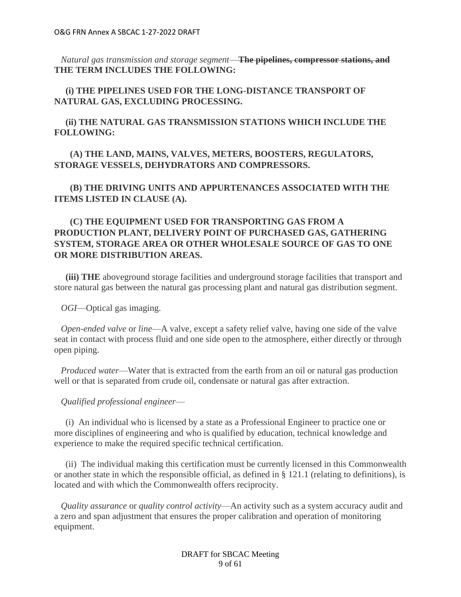*Natural gas transmission and storage segment*—**The pipelines, compressor stations, and THE TERM INCLUDES THE FOLLOWING:**

 **(i) THE PIPELINES USED FOR THE LONG-DISTANCE TRANSPORT OF NATURAL GAS, EXCLUDING PROCESSING.**

 **(ii) THE NATURAL GAS TRANSMISSION STATIONS WHICH INCLUDE THE FOLLOWING:**

 **(A) THE LAND, MAINS, VALVES, METERS, BOOSTERS, REGULATORS, STORAGE VESSELS, DEHYDRATORS AND COMPRESSORS.**

 **(B) THE DRIVING UNITS AND APPURTENANCES ASSOCIATED WITH THE ITEMS LISTED IN CLAUSE (A).**

# **(C) THE EQUIPMENT USED FOR TRANSPORTING GAS FROM A PRODUCTION PLANT, DELIVERY POINT OF PURCHASED GAS, GATHERING SYSTEM, STORAGE AREA OR OTHER WHOLESALE SOURCE OF GAS TO ONE OR MORE DISTRIBUTION AREAS.**

 **(iii) THE** aboveground storage facilities and underground storage facilities that transport and store natural gas between the natural gas processing plant and natural gas distribution segment.

 *OGI*—Optical gas imaging.

 *Open-ended valve* or *line*—A valve, except a safety relief valve, having one side of the valve seat in contact with process fluid and one side open to the atmosphere, either directly or through open piping.

 *Produced water*—Water that is extracted from the earth from an oil or natural gas production well or that is separated from crude oil, condensate or natural gas after extraction.

 *Qualified professional engineer*—

 (i) An individual who is licensed by a state as a Professional Engineer to practice one or more disciplines of engineering and who is qualified by education, technical knowledge and experience to make the required specific technical certification.

 (ii) The individual making this certification must be currently licensed in this Commonwealth or another state in which the responsible official, as defined in § 121.1 (relating to definitions), is located and with which the Commonwealth offers reciprocity.

 *Quality assurance* or *quality control activity*—An activity such as a system accuracy audit and a zero and span adjustment that ensures the proper calibration and operation of monitoring equipment.

> DRAFT for SBCAC Meeting 9 of 61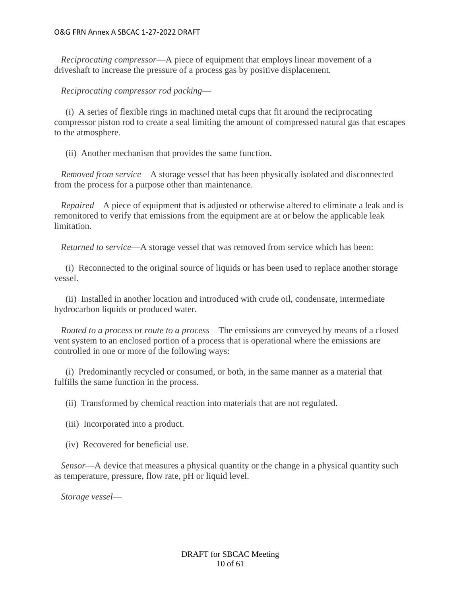*Reciprocating compressor*—A piece of equipment that employs linear movement of a driveshaft to increase the pressure of a process gas by positive displacement.

 *Reciprocating compressor rod packing*—

 (i) A series of flexible rings in machined metal cups that fit around the reciprocating compressor piston rod to create a seal limiting the amount of compressed natural gas that escapes to the atmosphere.

(ii) Another mechanism that provides the same function.

 *Removed from service*—A storage vessel that has been physically isolated and disconnected from the process for a purpose other than maintenance.

 *Repaired*—A piece of equipment that is adjusted or otherwise altered to eliminate a leak and is remonitored to verify that emissions from the equipment are at or below the applicable leak limitation.

 *Returned to service*—A storage vessel that was removed from service which has been:

 (i) Reconnected to the original source of liquids or has been used to replace another storage vessel.

 (ii) Installed in another location and introduced with crude oil, condensate, intermediate hydrocarbon liquids or produced water.

 *Routed to a process* or *route to a process*—The emissions are conveyed by means of a closed vent system to an enclosed portion of a process that is operational where the emissions are controlled in one or more of the following ways:

 (i) Predominantly recycled or consumed, or both, in the same manner as a material that fulfills the same function in the process.

(ii) Transformed by chemical reaction into materials that are not regulated.

(iii) Incorporated into a product.

(iv) Recovered for beneficial use.

 *Sensor*—A device that measures a physical quantity or the change in a physical quantity such as temperature, pressure, flow rate, pH or liquid level.

 *Storage vessel*—

DRAFT for SBCAC Meeting 10 of 61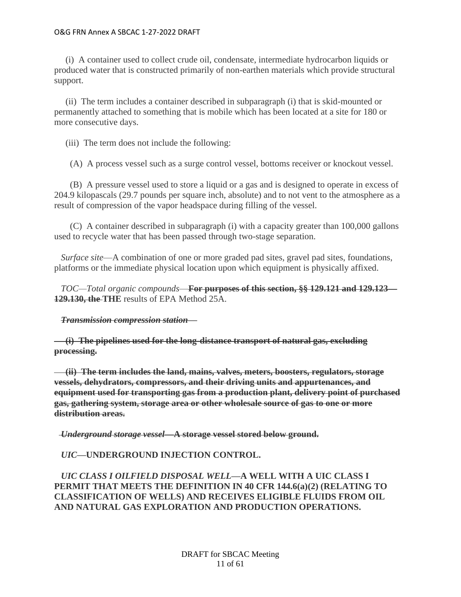(i) A container used to collect crude oil, condensate, intermediate hydrocarbon liquids or produced water that is constructed primarily of non-earthen materials which provide structural support.

 (ii) The term includes a container described in subparagraph (i) that is skid-mounted or permanently attached to something that is mobile which has been located at a site for 180 or more consecutive days.

(iii) The term does not include the following:

(A) A process vessel such as a surge control vessel, bottoms receiver or knockout vessel.

 (B) A pressure vessel used to store a liquid or a gas and is designed to operate in excess of 204.9 kilopascals (29.7 pounds per square inch, absolute) and to not vent to the atmosphere as a result of compression of the vapor headspace during filling of the vessel.

 (C) A container described in subparagraph (i) with a capacity greater than 100,000 gallons used to recycle water that has been passed through two-stage separation.

 *Surface site*—A combination of one or more graded pad sites, gravel pad sites, foundations, platforms or the immediate physical location upon which equipment is physically affixed.

 *TOC—Total organic compounds*—**For purposes of this section, §§ 129.121 and 129.123— 129.130, the THE** results of EPA Method 25A.

## *Transmission compression station***—**

 **(i) The pipelines used for the long-distance transport of natural gas, excluding processing.**

 **(ii) The term includes the land, mains, valves, meters, boosters, regulators, storage vessels, dehydrators, compressors, and their driving units and appurtenances, and equipment used for transporting gas from a production plant, delivery point of purchased gas, gathering system, storage area or other wholesale source of gas to one or more distribution areas.**

 *Underground storage vessel***—A storage vessel stored below ground.**

*UIC***—UNDERGROUND INJECTION CONTROL.**

 *UIC CLASS I OILFIELD DISPOSAL WELL***—A WELL WITH A UIC CLASS I PERMIT THAT MEETS THE DEFINITION IN 40 CFR 144.6(a)(2) (RELATING TO CLASSIFICATION OF WELLS) AND RECEIVES ELIGIBLE FLUIDS FROM OIL AND NATURAL GAS EXPLORATION AND PRODUCTION OPERATIONS.**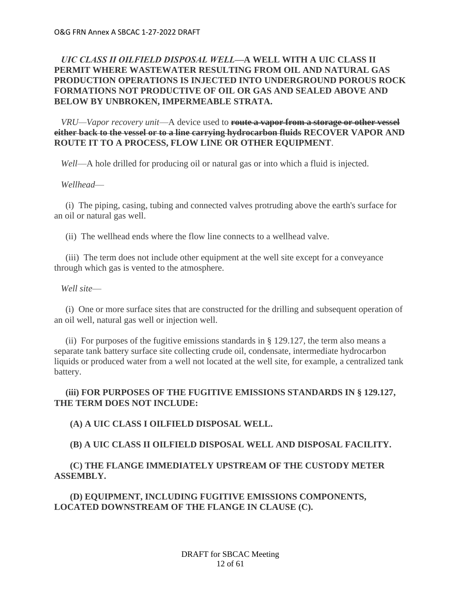# *UIC CLASS II OILFIELD DISPOSAL WELL***—A WELL WITH A UIC CLASS II PERMIT WHERE WASTEWATER RESULTING FROM OIL AND NATURAL GAS PRODUCTION OPERATIONS IS INJECTED INTO UNDERGROUND POROUS ROCK FORMATIONS NOT PRODUCTIVE OF OIL OR GAS AND SEALED ABOVE AND BELOW BY UNBROKEN, IMPERMEABLE STRATA.**

 *VRU—Vapor recovery unit*—A device used to **route a vapor from a storage or other vessel either back to the vessel or to a line carrying hydrocarbon fluids RECOVER VAPOR AND ROUTE IT TO A PROCESS, FLOW LINE OR OTHER EQUIPMENT**.

 *Well*—A hole drilled for producing oil or natural gas or into which a fluid is injected.

## *Wellhead*—

 (i) The piping, casing, tubing and connected valves protruding above the earth's surface for an oil or natural gas well.

(ii) The wellhead ends where the flow line connects to a wellhead valve.

 (iii) The term does not include other equipment at the well site except for a conveyance through which gas is vented to the atmosphere.

 *Well site*—

 (i) One or more surface sites that are constructed for the drilling and subsequent operation of an oil well, natural gas well or injection well.

 (ii) For purposes of the fugitive emissions standards in § 129.127, the term also means a separate tank battery surface site collecting crude oil, condensate, intermediate hydrocarbon liquids or produced water from a well not located at the well site, for example, a centralized tank battery.

## **(iii) FOR PURPOSES OF THE FUGITIVE EMISSIONS STANDARDS IN § 129.127, THE TERM DOES NOT INCLUDE:**

## **(A) A UIC CLASS I OILFIELD DISPOSAL WELL.**

## **(B) A UIC CLASS II OILFIELD DISPOSAL WELL AND DISPOSAL FACILITY.**

# **(C) THE FLANGE IMMEDIATELY UPSTREAM OF THE CUSTODY METER ASSEMBLY.**

## **(D) EQUIPMENT, INCLUDING FUGITIVE EMISSIONS COMPONENTS, LOCATED DOWNSTREAM OF THE FLANGE IN CLAUSE (C).**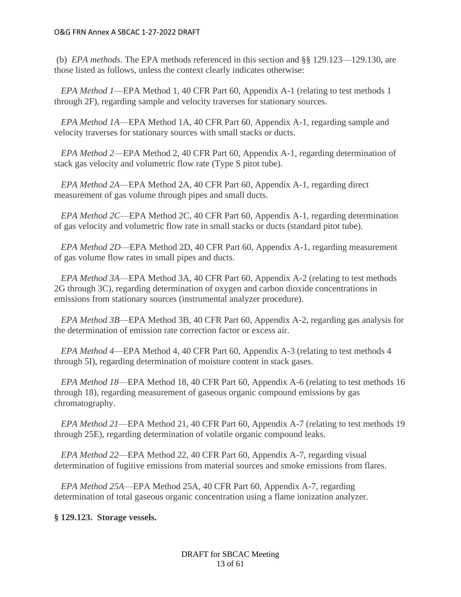(b) *EPA methods*. The EPA methods referenced in this section and §§ 129.123—129.130, are those listed as follows, unless the context clearly indicates otherwise:

 *EPA Method 1*—EPA Method 1, 40 CFR Part 60, Appendix A-1 (relating to test methods 1 through 2F), regarding sample and velocity traverses for stationary sources.

 *EPA Method 1A*—EPA Method 1A, 40 CFR Part 60, Appendix A-1, regarding sample and velocity traverses for stationary sources with small stacks or ducts.

 *EPA Method 2*—EPA Method 2, 40 CFR Part 60, Appendix A-1, regarding determination of stack gas velocity and volumetric flow rate (Type S pitot tube).

 *EPA Method 2A*—EPA Method 2A, 40 CFR Part 60, Appendix A-1, regarding direct measurement of gas volume through pipes and small ducts.

 *EPA Method 2C*—EPA Method 2C, 40 CFR Part 60, Appendix A-1, regarding determination of gas velocity and volumetric flow rate in small stacks or ducts (standard pitot tube).

 *EPA Method 2D*—EPA Method 2D, 40 CFR Part 60, Appendix A-1, regarding measurement of gas volume flow rates in small pipes and ducts.

 *EPA Method 3A*—EPA Method 3A, 40 CFR Part 60, Appendix A-2 (relating to test methods 2G through 3C), regarding determination of oxygen and carbon dioxide concentrations in emissions from stationary sources (instrumental analyzer procedure).

 *EPA Method 3B*—EPA Method 3B, 40 CFR Part 60, Appendix A-2, regarding gas analysis for the determination of emission rate correction factor or excess air.

 *EPA Method 4*—EPA Method 4, 40 CFR Part 60, Appendix A-3 (relating to test methods 4 through 5I), regarding determination of moisture content in stack gases.

 *EPA Method 18*—EPA Method 18, 40 CFR Part 60, Appendix A-6 (relating to test methods 16 through 18), regarding measurement of gaseous organic compound emissions by gas chromatography.

 *EPA Method 21*—EPA Method 21, 40 CFR Part 60, Appendix A-7 (relating to test methods 19 through 25E), regarding determination of volatile organic compound leaks.

 *EPA Method 22*—EPA Method 22, 40 CFR Part 60, Appendix A-7, regarding visual determination of fugitive emissions from material sources and smoke emissions from flares.

 *EPA Method 25A*—EPA Method 25A, 40 CFR Part 60, Appendix A-7, regarding determination of total gaseous organic concentration using a flame ionization analyzer.

## **§ 129.123. Storage vessels.**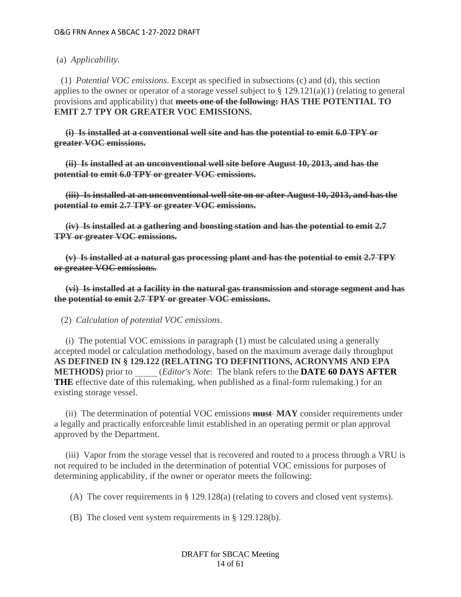(a) *Applicability*.

 (1) *Potential VOC emissions*. Except as specified in subsections (c) and (d), this section applies to the owner or operator of a storage vessel subject to § 129.121(a)(1) (relating to general provisions and applicability) that **meets one of the following: HAS THE POTENTIAL TO EMIT 2.7 TPY OR GREATER VOC EMISSIONS.**

 **(i) Is installed at a conventional well site and has the potential to emit 6.0 TPY or greater VOC emissions.**

 **(ii) Is installed at an unconventional well site before August 10, 2013, and has the potential to emit 6.0 TPY or greater VOC emissions.**

 **(iii) Is installed at an unconventional well site on or after August 10, 2013, and has the potential to emit 2.7 TPY or greater VOC emissions.**

 **(iv) Is installed at a gathering and boosting station and has the potential to emit 2.7 TPY or greater VOC emissions.**

 **(v) Is installed at a natural gas processing plant and has the potential to emit 2.7 TPY or greater VOC emissions.**

 **(vi) Is installed at a facility in the natural gas transmission and storage segment and has the potential to emit 2.7 TPY or greater VOC emissions.**

(2) *Calculation of potential VOC emissions*.

 (i) The potential VOC emissions in paragraph (1) must be calculated using a generally accepted model or calculation methodology, based on the maximum average daily throughput **AS DEFINED IN § 129.122 (RELATING TO DEFINITIONS, ACRONYMS AND EPA METHODS)** prior to \_\_\_\_\_ (*Editor's Note*: The blank refers to the **DATE 60 DAYS AFTER THE** effective date of this rulemaking, when published as a final-form rulemaking.) for an existing storage vessel.

 (ii) The determination of potential VOC emissions **must MAY** consider requirements under a legally and practically enforceable limit established in an operating permit or plan approval approved by the Department.

 (iii) Vapor from the storage vessel that is recovered and routed to a process through a VRU is not required to be included in the determination of potential VOC emissions for purposes of determining applicability, if the owner or operator meets the following:

(A) The cover requirements in § 129.128(a) (relating to covers and closed vent systems).

(B) The closed vent system requirements in § 129.128(b).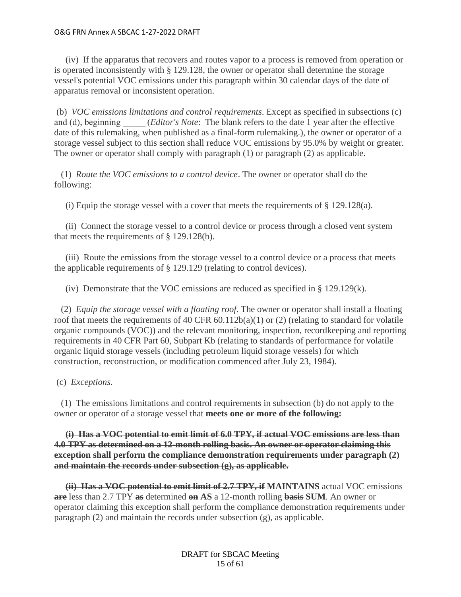(iv) If the apparatus that recovers and routes vapor to a process is removed from operation or is operated inconsistently with § 129.128, the owner or operator shall determine the storage vessel's potential VOC emissions under this paragraph within 30 calendar days of the date of apparatus removal or inconsistent operation.

(b) *VOC emissions limitations and control requirements*. Except as specified in subsections (c) and (d), beginning (*Editor's Note*: The blank refers to the date 1 year after the effective date of this rulemaking, when published as a final-form rulemaking.), the owner or operator of a storage vessel subject to this section shall reduce VOC emissions by 95.0% by weight or greater. The owner or operator shall comply with paragraph (1) or paragraph (2) as applicable.

 (1) *Route the VOC emissions to a control device*. The owner or operator shall do the following:

(i) Equip the storage vessel with a cover that meets the requirements of  $\S$  129.128(a).

 (ii) Connect the storage vessel to a control device or process through a closed vent system that meets the requirements of  $\S$  129.128(b).

 (iii) Route the emissions from the storage vessel to a control device or a process that meets the applicable requirements of § 129.129 (relating to control devices).

(iv) Demonstrate that the VOC emissions are reduced as specified in  $\S$  129.129(k).

 (2) *Equip the storage vessel with a floating roof*. The owner or operator shall install a floating roof that meets the requirements of 40 CFR  $60.112b(a)(1)$  or (2) (relating to standard for volatile organic compounds (VOC)) and the relevant monitoring, inspection, recordkeeping and reporting requirements in 40 CFR Part 60, Subpart Kb (relating to standards of performance for volatile organic liquid storage vessels (including petroleum liquid storage vessels) for which construction, reconstruction, or modification commenced after July 23, 1984).

(c) *Exceptions*.

 (1) The emissions limitations and control requirements in subsection (b) do not apply to the owner or operator of a storage vessel that **meets one or more of the following:**

 **(i) Has a VOC potential to emit limit of 6.0 TPY, if actual VOC emissions are less than 4.0 TPY as determined on a 12-month rolling basis. An owner or operator claiming this exception shall perform the compliance demonstration requirements under paragraph (2) and maintain the records under subsection (g), as applicable.**

 **(ii) Has a VOC potential to emit limit of 2.7 TPY, if MAINTAINS** actual VOC emissions **are** less than 2.7 TPY **as** determined **on AS** a 12-month rolling **basis SUM**. An owner or operator claiming this exception shall perform the compliance demonstration requirements under paragraph (2) and maintain the records under subsection (g), as applicable.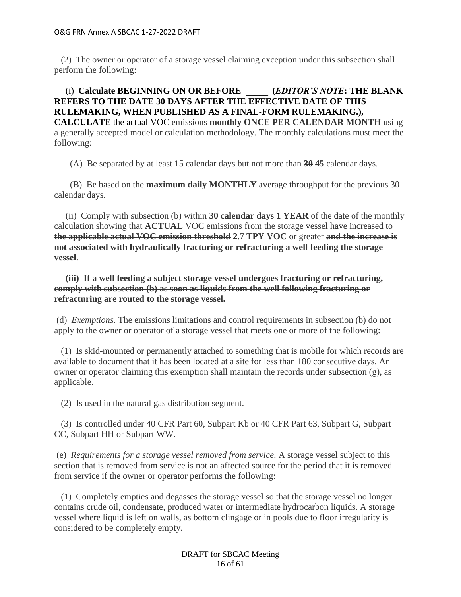(2) The owner or operator of a storage vessel claiming exception under this subsection shall perform the following:

# (i) **Calculate BEGINNING ON OR BEFORE \_\_\_\_\_  (***EDITOR'S NOTE***: THE BLANK REFERS TO THE DATE 30 DAYS AFTER THE EFFECTIVE DATE OF THIS RULEMAKING, WHEN PUBLISHED AS A FINAL-FORM RULEMAKING.), CALCULATE** the actual VOC emissions **monthly ONCE PER CALENDAR MONTH** using a generally accepted model or calculation methodology. The monthly calculations must meet the following:

(A) Be separated by at least 15 calendar days but not more than **30 45** calendar days.

 (B) Be based on the **maximum daily MONTHLY** average throughput for the previous 30 calendar days.

 (ii) Comply with subsection (b) within **30 calendar days 1 YEAR** of the date of the monthly calculation showing that **ACTUAL** VOC emissions from the storage vessel have increased to **the applicable actual VOC emission threshold 2.7 TPY VOC** or greater **and the increase is not associated with hydraulically fracturing or refracturing a well feeding the storage vessel**.

 **(iii) If a well feeding a subject storage vessel undergoes fracturing or refracturing, comply with subsection (b) as soon as liquids from the well following fracturing or refracturing are routed to the storage vessel.**

(d) *Exemptions*. The emissions limitations and control requirements in subsection (b) do not apply to the owner or operator of a storage vessel that meets one or more of the following:

 (1) Is skid-mounted or permanently attached to something that is mobile for which records are available to document that it has been located at a site for less than 180 consecutive days. An owner or operator claiming this exemption shall maintain the records under subsection  $(g)$ , as applicable.

(2) Is used in the natural gas distribution segment.

 (3) Is controlled under 40 CFR Part 60, Subpart Kb or 40 CFR Part 63, Subpart G, Subpart CC, Subpart HH or Subpart WW.

(e) *Requirements for a storage vessel removed from service*. A storage vessel subject to this section that is removed from service is not an affected source for the period that it is removed from service if the owner or operator performs the following:

 (1) Completely empties and degasses the storage vessel so that the storage vessel no longer contains crude oil, condensate, produced water or intermediate hydrocarbon liquids. A storage vessel where liquid is left on walls, as bottom clingage or in pools due to floor irregularity is considered to be completely empty.

> DRAFT for SBCAC Meeting 16 of 61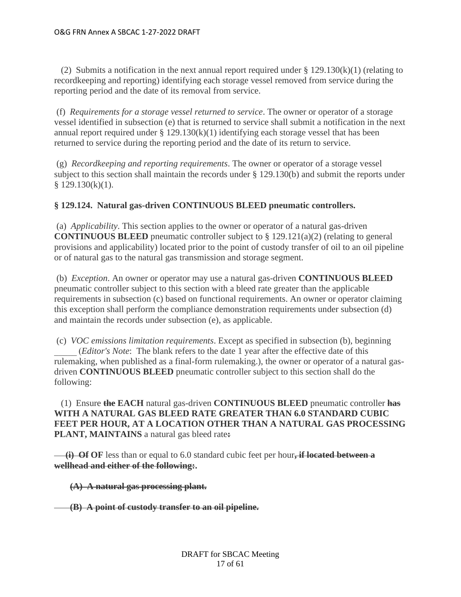(2) Submits a notification in the next annual report required under § 129.130(k)(1) (relating to recordkeeping and reporting) identifying each storage vessel removed from service during the reporting period and the date of its removal from service.

(f) *Requirements for a storage vessel returned to service*. The owner or operator of a storage vessel identified in subsection (e) that is returned to service shall submit a notification in the next annual report required under  $\S 129.130(k)(1)$  identifying each storage vessel that has been returned to service during the reporting period and the date of its return to service.

(g) *Recordkeeping and reporting requirements*. The owner or operator of a storage vessel subject to this section shall maintain the records under § 129.130(b) and submit the reports under  $$129.130(k)(1).$ 

# **§ 129.124. Natural gas-driven CONTINUOUS BLEED pneumatic controllers.**

(a) *Applicability*. This section applies to the owner or operator of a natural gas-driven **CONTINUOUS BLEED** pneumatic controller subject to § 129.121(a)(2) (relating to general provisions and applicability) located prior to the point of custody transfer of oil to an oil pipeline or of natural gas to the natural gas transmission and storage segment.

(b) *Exception*. An owner or operator may use a natural gas-driven **CONTINUOUS BLEED** pneumatic controller subject to this section with a bleed rate greater than the applicable requirements in subsection (c) based on functional requirements. An owner or operator claiming this exception shall perform the compliance demonstration requirements under subsection (d) and maintain the records under subsection (e), as applicable.

(c) *VOC emissions limitation requirements*. Except as specified in subsection (b), beginning \_\_\_\_\_ (*Editor's Note*: The blank refers to the date 1 year after the effective date of this rulemaking, when published as a final-form rulemaking.), the owner or operator of a natural gasdriven **CONTINUOUS BLEED** pneumatic controller subject to this section shall do the following:

 (1) Ensure **the EACH** natural gas-driven **CONTINUOUS BLEED** pneumatic controller **has WITH A NATURAL GAS BLEED RATE GREATER THAN 6.0 STANDARD CUBIC FEET PER HOUR, AT A LOCATION OTHER THAN A NATURAL GAS PROCESSING PLANT, MAINTAINS** a natural gas bleed rate**:**

 **(i) Of OF** less than or equal to 6.0 standard cubic feet per hour**, if located between a wellhead and either of the following:.**

**(A) A natural gas processing plant.**

 **(B) A point of custody transfer to an oil pipeline.**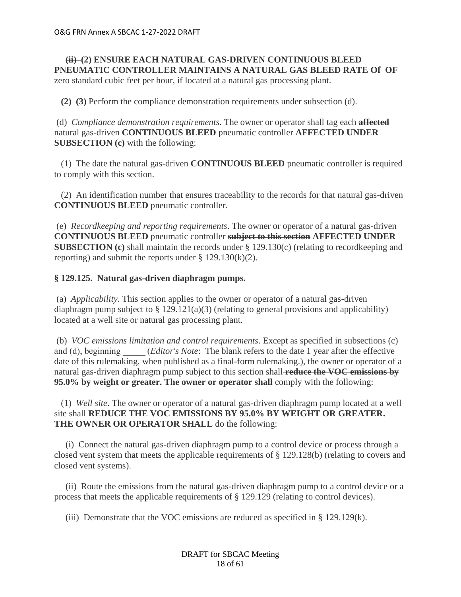# **(ii) (2) ENSURE EACH NATURAL GAS-DRIVEN CONTINUOUS BLEED PNEUMATIC CONTROLLER MAINTAINS A NATURAL GAS BLEED RATE Of OF** zero standard cubic feet per hour, if located at a natural gas processing plant.

**(2) (3)** Perform the compliance demonstration requirements under subsection (d).

(d) *Compliance demonstration requirements*. The owner or operator shall tag each **affected** natural gas-driven **CONTINUOUS BLEED** pneumatic controller **AFFECTED UNDER SUBSECTION (c)** with the following:

 (1) The date the natural gas-driven **CONTINUOUS BLEED** pneumatic controller is required to comply with this section.

 (2) An identification number that ensures traceability to the records for that natural gas-driven **CONTINUOUS BLEED** pneumatic controller.

(e) *Recordkeeping and reporting requirements*. The owner or operator of a natural gas-driven **CONTINUOUS BLEED** pneumatic controller **subject to this section AFFECTED UNDER SUBSECTION (c)** shall maintain the records under § 129.130(c) (relating to recordkeeping and reporting) and submit the reports under  $\S 129.130(k)(2)$ .

# **§ 129.125. Natural gas-driven diaphragm pumps.**

(a) *Applicability*. This section applies to the owner or operator of a natural gas-driven diaphragm pump subject to  $\S 129.121(a)(3)$  (relating to general provisions and applicability) located at a well site or natural gas processing plant.

(b) *VOC emissions limitation and control requirements*. Except as specified in subsections (c) and (d), beginning *(Editor's Note*: The blank refers to the date 1 year after the effective date of this rulemaking, when published as a final-form rulemaking.), the owner or operator of a natural gas-driven diaphragm pump subject to this section shall **reduce the VOC emissions by 95.0% by weight or greater. The owner or operator shall** comply with the following:

 (1) *Well site*. The owner or operator of a natural gas-driven diaphragm pump located at a well site shall **REDUCE THE VOC EMISSIONS BY 95.0% BY WEIGHT OR GREATER.**  THE OWNER OR OPERATOR SHALL do the following:

 (i) Connect the natural gas-driven diaphragm pump to a control device or process through a closed vent system that meets the applicable requirements of § 129.128(b) (relating to covers and closed vent systems).

 (ii) Route the emissions from the natural gas-driven diaphragm pump to a control device or a process that meets the applicable requirements of § 129.129 (relating to control devices).

(iii) Demonstrate that the VOC emissions are reduced as specified in  $\S$  129.129(k).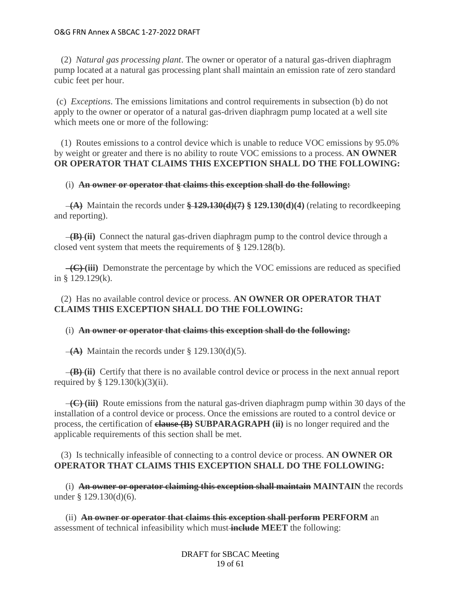(2) *Natural gas processing plant*. The owner or operator of a natural gas-driven diaphragm pump located at a natural gas processing plant shall maintain an emission rate of zero standard cubic feet per hour.

(c) *Exceptions*. The emissions limitations and control requirements in subsection (b) do not apply to the owner or operator of a natural gas-driven diaphragm pump located at a well site which meets one or more of the following:

 (1) Routes emissions to a control device which is unable to reduce VOC emissions by 95.0% by weight or greater and there is no ability to route VOC emissions to a process. **AN OWNER OR OPERATOR THAT CLAIMS THIS EXCEPTION SHALL DO THE FOLLOWING:**

## (i) **An owner or operator that claims this exception shall do the following:**

 **(A)** Maintain the records under **§ 129.130(d)(7) § 129.130(d)(4)** (relating to recordkeeping and reporting).

 **(B) (ii)** Connect the natural gas-driven diaphragm pump to the control device through a closed vent system that meets the requirements of § 129.128(b).

 **(C) (iii)** Demonstrate the percentage by which the VOC emissions are reduced as specified in § 129.129(k).

 (2) Has no available control device or process. **AN OWNER OR OPERATOR THAT CLAIMS THIS EXCEPTION SHALL DO THE FOLLOWING:**

## (i) **An owner or operator that claims this exception shall do the following:**

 $\overline{A}$ ) Maintain the records under § 129.130(d)(5).

 **(B) (ii)** Certify that there is no available control device or process in the next annual report required by  $\S$  129.130(k)(3)(ii).

 **(C) (iii)** Route emissions from the natural gas-driven diaphragm pump within 30 days of the installation of a control device or process. Once the emissions are routed to a control device or process, the certification of **clause (B) SUBPARAGRAPH (ii)** is no longer required and the applicable requirements of this section shall be met.

 (3) Is technically infeasible of connecting to a control device or process. **AN OWNER OR OPERATOR THAT CLAIMS THIS EXCEPTION SHALL DO THE FOLLOWING:**

 (i) **An owner or operator claiming this exception shall maintain MAINTAIN** the records under § 129.130(d)(6).

 (ii) **An owner or operator that claims this exception shall perform PERFORM** an assessment of technical infeasibility which must **include MEET** the following: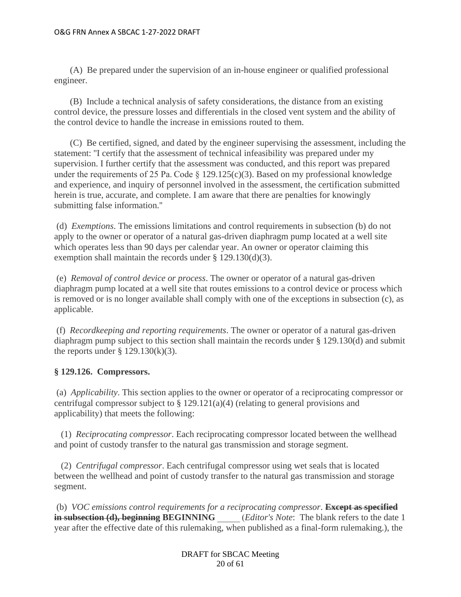(A) Be prepared under the supervision of an in-house engineer or qualified professional engineer.

 (B) Include a technical analysis of safety considerations, the distance from an existing control device, the pressure losses and differentials in the closed vent system and the ability of the control device to handle the increase in emissions routed to them.

 (C) Be certified, signed, and dated by the engineer supervising the assessment, including the statement: ''I certify that the assessment of technical infeasibility was prepared under my supervision. I further certify that the assessment was conducted, and this report was prepared under the requirements of 25 Pa. Code  $\S$  129.125(c)(3). Based on my professional knowledge and experience, and inquiry of personnel involved in the assessment, the certification submitted herein is true, accurate, and complete. I am aware that there are penalties for knowingly submitting false information.''

(d) *Exemptions*. The emissions limitations and control requirements in subsection (b) do not apply to the owner or operator of a natural gas-driven diaphragm pump located at a well site which operates less than 90 days per calendar year. An owner or operator claiming this exemption shall maintain the records under § 129.130(d)(3).

(e) *Removal of control device or process*. The owner or operator of a natural gas-driven diaphragm pump located at a well site that routes emissions to a control device or process which is removed or is no longer available shall comply with one of the exceptions in subsection (c), as applicable.

(f) *Recordkeeping and reporting requirements*. The owner or operator of a natural gas-driven diaphragm pump subject to this section shall maintain the records under § 129.130(d) and submit the reports under  $\S$  129.130(k)(3).

# **§ 129.126. Compressors.**

(a) *Applicability*. This section applies to the owner or operator of a reciprocating compressor or centrifugal compressor subject to  $\S 129.121(a)(4)$  (relating to general provisions and applicability) that meets the following:

 (1) *Reciprocating compressor*. Each reciprocating compressor located between the wellhead and point of custody transfer to the natural gas transmission and storage segment.

 (2) *Centrifugal compressor*. Each centrifugal compressor using wet seals that is located between the wellhead and point of custody transfer to the natural gas transmission and storage segment.

(b) *VOC emissions control requirements for a reciprocating compressor*. **Except as specified in subsection (d), beginning BEGINNING** *\_\_\_\_\_ (Editor's Note*: The blank refers to the date 1 year after the effective date of this rulemaking, when published as a final-form rulemaking.), the

> DRAFT for SBCAC Meeting 20 of 61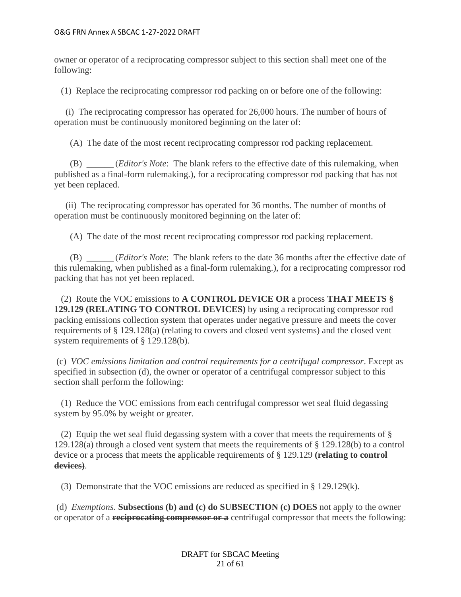owner or operator of a reciprocating compressor subject to this section shall meet one of the following:

(1) Replace the reciprocating compressor rod packing on or before one of the following:

 (i) The reciprocating compressor has operated for 26,000 hours. The number of hours of operation must be continuously monitored beginning on the later of:

(A) The date of the most recent reciprocating compressor rod packing replacement.

 (B) \_\_\_\_\_\_ (*Editor's Note*: The blank refers to the effective date of this rulemaking, when published as a final-form rulemaking.), for a reciprocating compressor rod packing that has not yet been replaced.

 (ii) The reciprocating compressor has operated for 36 months. The number of months of operation must be continuously monitored beginning on the later of:

(A) The date of the most recent reciprocating compressor rod packing replacement.

 (B) \_\_\_\_\_\_ (*Editor's Note*: The blank refers to the date 36 months after the effective date of this rulemaking, when published as a final-form rulemaking.), for a reciprocating compressor rod packing that has not yet been replaced.

 (2) Route the VOC emissions to **A CONTROL DEVICE OR** a process **THAT MEETS § 129.129 (RELATING TO CONTROL DEVICES)** by using a reciprocating compressor rod packing emissions collection system that operates under negative pressure and meets the cover requirements of § 129.128(a) (relating to covers and closed vent systems) and the closed vent system requirements of § 129.128(b).

(c) *VOC emissions limitation and control requirements for a centrifugal compressor*. Except as specified in subsection (d), the owner or operator of a centrifugal compressor subject to this section shall perform the following:

 (1) Reduce the VOC emissions from each centrifugal compressor wet seal fluid degassing system by 95.0% by weight or greater.

(2) Equip the wet seal fluid degassing system with a cover that meets the requirements of  $\S$ 129.128(a) through a closed vent system that meets the requirements of § 129.128(b) to a control device or a process that meets the applicable requirements of § 129.129 **(relating to control devices)**.

(3) Demonstrate that the VOC emissions are reduced as specified in § 129.129(k).

(d) *Exemptions*. **Subsections (b) and (c) do SUBSECTION (c) DOES** not apply to the owner or operator of a **reciprocating compressor or a** centrifugal compressor that meets the following:

> DRAFT for SBCAC Meeting 21 of 61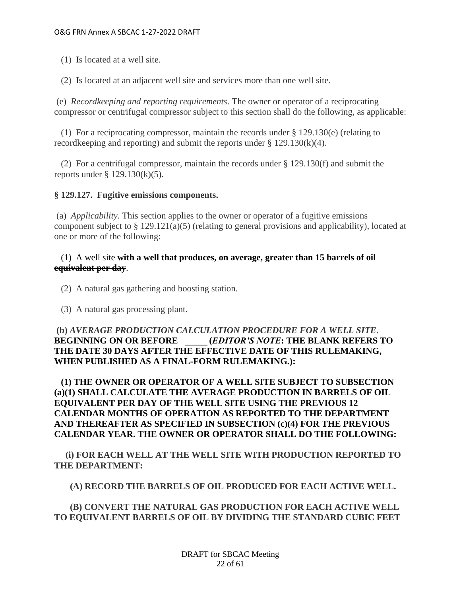- (1) Is located at a well site.
- (2) Is located at an adjacent well site and services more than one well site.

(e) *Recordkeeping and reporting requirements*. The owner or operator of a reciprocating compressor or centrifugal compressor subject to this section shall do the following, as applicable:

 (1) For a reciprocating compressor, maintain the records under § 129.130(e) (relating to recordkeeping and reporting) and submit the reports under § 129.130(k)(4).

 (2) For a centrifugal compressor, maintain the records under § 129.130(f) and submit the reports under § 129.130(k)(5).

## **§ 129.127. Fugitive emissions components.**

(a) *Applicability*. This section applies to the owner or operator of a fugitive emissions component subject to § 129.121(a)(5) (relating to general provisions and applicability), located at one or more of the following:

# (1) A well site **with a well that produces, on average, greater than 15 barrels of oil equivalent per day**.

- (2) A natural gas gathering and boosting station.
- (3) A natural gas processing plant.

# **(b)** *AVERAGE PRODUCTION CALCULATION PROCEDURE FOR A WELL SITE***. BEGINNING ON OR BEFORE \_\_\_\_\_ (***EDITOR'S NOTE***: THE BLANK REFERS TO THE DATE 30 DAYS AFTER THE EFFECTIVE DATE OF THIS RULEMAKING, WHEN PUBLISHED AS A FINAL-FORM RULEMAKING.):**

 **(1) THE OWNER OR OPERATOR OF A WELL SITE SUBJECT TO SUBSECTION (a)(1) SHALL CALCULATE THE AVERAGE PRODUCTION IN BARRELS OF OIL EQUIVALENT PER DAY OF THE WELL SITE USING THE PREVIOUS 12 CALENDAR MONTHS OF OPERATION AS REPORTED TO THE DEPARTMENT AND THEREAFTER AS SPECIFIED IN SUBSECTION (c)(4) FOR THE PREVIOUS CALENDAR YEAR. THE OWNER OR OPERATOR SHALL DO THE FOLLOWING:**

 **(i) FOR EACH WELL AT THE WELL SITE WITH PRODUCTION REPORTED TO THE DEPARTMENT:**

 **(A) RECORD THE BARRELS OF OIL PRODUCED FOR EACH ACTIVE WELL.**

 **(B) CONVERT THE NATURAL GAS PRODUCTION FOR EACH ACTIVE WELL TO EQUIVALENT BARRELS OF OIL BY DIVIDING THE STANDARD CUBIC FEET**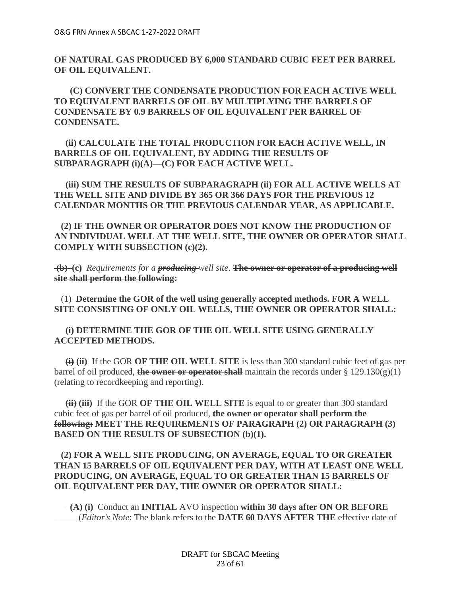**OF NATURAL GAS PRODUCED BY 6,000 STANDARD CUBIC FEET PER BARREL OF OIL EQUIVALENT.**

 **(C) CONVERT THE CONDENSATE PRODUCTION FOR EACH ACTIVE WELL TO EQUIVALENT BARRELS OF OIL BY MULTIPLYING THE BARRELS OF CONDENSATE BY 0.9 BARRELS OF OIL EQUIVALENT PER BARREL OF CONDENSATE.**

 **(ii) CALCULATE THE TOTAL PRODUCTION FOR EACH ACTIVE WELL, IN BARRELS OF OIL EQUIVALENT, BY ADDING THE RESULTS OF SUBPARAGRAPH (i)(A)—(C) FOR EACH ACTIVE WELL.**

 **(iii) SUM THE RESULTS OF SUBPARAGRAPH (ii) FOR ALL ACTIVE WELLS AT THE WELL SITE AND DIVIDE BY 365 OR 366 DAYS FOR THE PREVIOUS 12 CALENDAR MONTHS OR THE PREVIOUS CALENDAR YEAR, AS APPLICABLE.**

 **(2) IF THE OWNER OR OPERATOR DOES NOT KNOW THE PRODUCTION OF AN INDIVIDUAL WELL AT THE WELL SITE, THE OWNER OR OPERATOR SHALL COMPLY WITH SUBSECTION (c)(2).**

**(b) (c)** *Requirements for a producing well site*. **The owner or operator of a producing well site shall perform the following:**

 (1) **Determine the GOR of the well using generally accepted methods. FOR A WELL SITE CONSISTING OF ONLY OIL WELLS, THE OWNER OR OPERATOR SHALL:**

 **(i) DETERMINE THE GOR OF THE OIL WELL SITE USING GENERALLY ACCEPTED METHODS.**

 **(i) (ii)** If the GOR **OF THE OIL WELL SITE** is less than 300 standard cubic feet of gas per barrel of oil produced, **the owner or operator shall** maintain the records under  $\S 129.130(g)(1)$ (relating to recordkeeping and reporting).

 **(ii) (iii)** If the GOR **OF THE OIL WELL SITE** is equal to or greater than 300 standard cubic feet of gas per barrel of oil produced, **the owner or operator shall perform the following: MEET THE REQUIREMENTS OF PARAGRAPH (2) OR PARAGRAPH (3) BASED ON THE RESULTS OF SUBSECTION (b)(1).**

# **(2) FOR A WELL SITE PRODUCING, ON AVERAGE, EQUAL TO OR GREATER THAN 15 BARRELS OF OIL EQUIVALENT PER DAY, WITH AT LEAST ONE WELL PRODUCING, ON AVERAGE, EQUAL TO OR GREATER THAN 15 BARRELS OF OIL EQUIVALENT PER DAY, THE OWNER OR OPERATOR SHALL:**

 **(A) (i)** Conduct an **INITIAL** AVO inspection **within 30 days after ON OR BEFORE** \_\_\_\_\_ (*Editor's Note*: The blank refers to the **DATE 60 DAYS AFTER THE** effective date of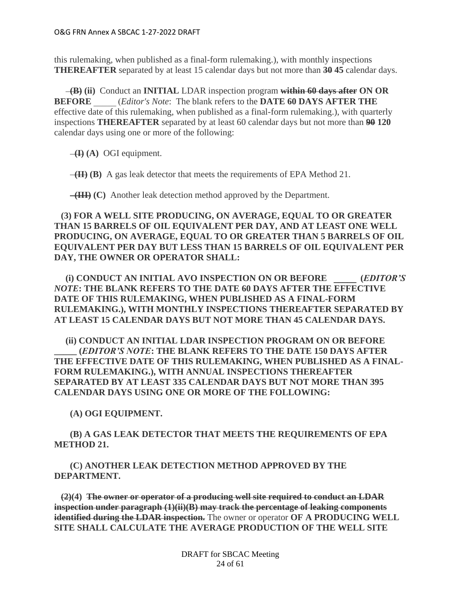this rulemaking, when published as a final-form rulemaking.), with monthly inspections **THEREAFTER** separated by at least 15 calendar days but not more than **30 45** calendar days.

 **(B) (ii)** Conduct an **INITIAL** LDAR inspection program **within 60 days after ON OR BEFORE** \_\_\_\_\_ (*Editor's Note*: The blank refers to the **DATE 60 DAYS AFTER THE** effective date of this rulemaking, when published as a final-form rulemaking.), with quarterly inspections **THEREAFTER** separated by at least 60 calendar days but not more than **90 120** calendar days using one or more of the following:

 $\overline{H}(A)$  OGI equipment.

 **(II) (B)** A gas leak detector that meets the requirements of EPA Method 21.

 **(III) (C)** Another leak detection method approved by the Department.

 **(3) FOR A WELL SITE PRODUCING, ON AVERAGE, EQUAL TO OR GREATER THAN 15 BARRELS OF OIL EQUIVALENT PER DAY, AND AT LEAST ONE WELL PRODUCING, ON AVERAGE, EQUAL TO OR GREATER THAN 5 BARRELS OF OIL EQUIVALENT PER DAY BUT LESS THAN 15 BARRELS OF OIL EQUIVALENT PER DAY, THE OWNER OR OPERATOR SHALL:**

 **(i) CONDUCT AN INITIAL AVO INSPECTION ON OR BEFORE \_\_\_\_\_  (***EDITOR'S NOTE***: THE BLANK REFERS TO THE DATE 60 DAYS AFTER THE EFFECTIVE DATE OF THIS RULEMAKING, WHEN PUBLISHED AS A FINAL-FORM RULEMAKING.), WITH MONTHLY INSPECTIONS THEREAFTER SEPARATED BY AT LEAST 15 CALENDAR DAYS BUT NOT MORE THAN 45 CALENDAR DAYS.**

 **(ii) CONDUCT AN INITIAL LDAR INSPECTION PROGRAM ON OR BEFORE \_\_\_\_\_ (***EDITOR'S NOTE***: THE BLANK REFERS TO THE DATE 150 DAYS AFTER THE EFFECTIVE DATE OF THIS RULEMAKING, WHEN PUBLISHED AS A FINAL-FORM RULEMAKING.), WITH ANNUAL INSPECTIONS THEREAFTER SEPARATED BY AT LEAST 335 CALENDAR DAYS BUT NOT MORE THAN 395 CALENDAR DAYS USING ONE OR MORE OF THE FOLLOWING:**

 **(A) OGI EQUIPMENT.**

 **(B) A GAS LEAK DETECTOR THAT MEETS THE REQUIREMENTS OF EPA METHOD 21.**

 **(C) ANOTHER LEAK DETECTION METHOD APPROVED BY THE DEPARTMENT.**

 **(2)(4) The owner or operator of a producing well site required to conduct an LDAR inspection under paragraph (1)(ii)(B) may track the percentage of leaking components identified during the LDAR inspection.** The owner or operator **OF A PRODUCING WELL SITE SHALL CALCULATE THE AVERAGE PRODUCTION OF THE WELL SITE**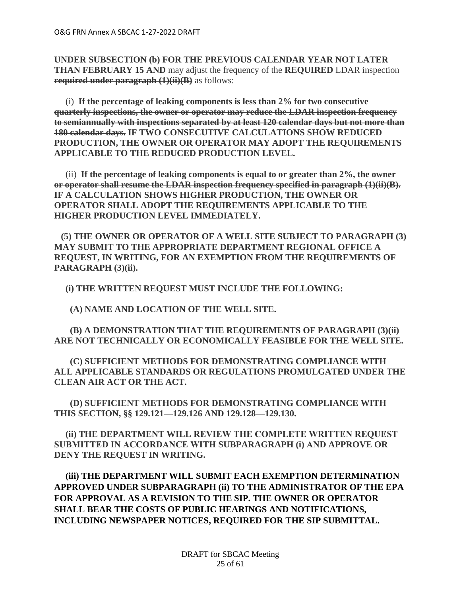**UNDER SUBSECTION (b) FOR THE PREVIOUS CALENDAR YEAR NOT LATER THAN FEBRUARY 15 AND** may adjust the frequency of the **REQUIRED** LDAR inspection **required under paragraph (1)(ii)(B)** as follows:

 (i) **If the percentage of leaking components is less than 2% for two consecutive quarterly inspections, the owner or operator may reduce the LDAR inspection frequency to semiannually with inspections separated by at least 120 calendar days but not more than 180 calendar days. IF TWO CONSECUTIVE CALCULATIONS SHOW REDUCED PRODUCTION, THE OWNER OR OPERATOR MAY ADOPT THE REQUIREMENTS APPLICABLE TO THE REDUCED PRODUCTION LEVEL.**

 (ii) **If the percentage of leaking components is equal to or greater than 2%, the owner or operator shall resume the LDAR inspection frequency specified in paragraph (1)(ii)(B). IF A CALCULATION SHOWS HIGHER PRODUCTION, THE OWNER OR OPERATOR SHALL ADOPT THE REQUIREMENTS APPLICABLE TO THE HIGHER PRODUCTION LEVEL IMMEDIATELY.**

 **(5) THE OWNER OR OPERATOR OF A WELL SITE SUBJECT TO PARAGRAPH (3) MAY SUBMIT TO THE APPROPRIATE DEPARTMENT REGIONAL OFFICE A REQUEST, IN WRITING, FOR AN EXEMPTION FROM THE REQUIREMENTS OF PARAGRAPH (3)(ii).** 

 **(i) THE WRITTEN REQUEST MUST INCLUDE THE FOLLOWING:**

 **(A) NAME AND LOCATION OF THE WELL SITE.**

 **(B) A DEMONSTRATION THAT THE REQUIREMENTS OF PARAGRAPH (3)(ii) ARE NOT TECHNICALLY OR ECONOMICALLY FEASIBLE FOR THE WELL SITE.**

 **(C) SUFFICIENT METHODS FOR DEMONSTRATING COMPLIANCE WITH ALL APPLICABLE STANDARDS OR REGULATIONS PROMULGATED UNDER THE CLEAN AIR ACT OR THE ACT.**

 **(D) SUFFICIENT METHODS FOR DEMONSTRATING COMPLIANCE WITH THIS SECTION, §§ 129.121—129.126 AND 129.128—129.130.**

 **(ii) THE DEPARTMENT WILL REVIEW THE COMPLETE WRITTEN REQUEST SUBMITTED IN ACCORDANCE WITH SUBPARAGRAPH (i) AND APPROVE OR DENY THE REQUEST IN WRITING.** 

 **(iii) THE DEPARTMENT WILL SUBMIT EACH EXEMPTION DETERMINATION APPROVED UNDER SUBPARAGRAPH (ii) TO THE ADMINISTRATOR OF THE EPA FOR APPROVAL AS A REVISION TO THE SIP. THE OWNER OR OPERATOR SHALL BEAR THE COSTS OF PUBLIC HEARINGS AND NOTIFICATIONS, INCLUDING NEWSPAPER NOTICES, REQUIRED FOR THE SIP SUBMITTAL.**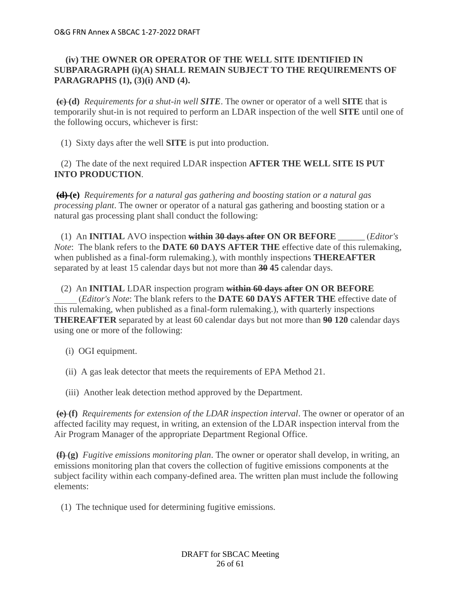# **(iv) THE OWNER OR OPERATOR OF THE WELL SITE IDENTIFIED IN SUBPARAGRAPH (i)(A) SHALL REMAIN SUBJECT TO THE REQUIREMENTS OF PARAGRAPHS (1), (3)(i) AND (4).**

**(c) (d)** *Requirements for a shut-in well SITE*. The owner or operator of a well **SITE** that is temporarily shut-in is not required to perform an LDAR inspection of the well **SITE** until one of the following occurs, whichever is first:

(1) Sixty days after the well **SITE** is put into production.

 (2) The date of the next required LDAR inspection **AFTER THE WELL SITE IS PUT INTO PRODUCTION**.

**(d) (e)** *Requirements for a natural gas gathering and boosting station or a natural gas processing plant*. The owner or operator of a natural gas gathering and boosting station or a natural gas processing plant shall conduct the following:

 (1) An **INITIAL** AVO inspection **within 30 days after ON OR BEFORE** \_\_\_\_\_\_ (*Editor's Note*: The blank refers to the **DATE 60 DAYS AFTER THE** effective date of this rulemaking, when published as a final-form rulemaking.), with monthly inspections **THEREAFTER** separated by at least 15 calendar days but not more than **30 45** calendar days.

(2) An **INITIAL** LDAR inspection program **within 60 days after ON OR BEFORE**

\_\_\_\_\_ (*Editor's Note*: The blank refers to the **DATE 60 DAYS AFTER THE** effective date of this rulemaking, when published as a final-form rulemaking.), with quarterly inspections **THEREAFTER** separated by at least 60 calendar days but not more than **90 120** calendar days using one or more of the following:

- (i) OGI equipment.
- (ii) A gas leak detector that meets the requirements of EPA Method 21.
- (iii) Another leak detection method approved by the Department.

**(e) (f)** *Requirements for extension of the LDAR inspection interval*. The owner or operator of an affected facility may request, in writing, an extension of the LDAR inspection interval from the Air Program Manager of the appropriate Department Regional Office.

**(f) (g)** *Fugitive emissions monitoring plan*. The owner or operator shall develop, in writing, an emissions monitoring plan that covers the collection of fugitive emissions components at the subject facility within each company-defined area. The written plan must include the following elements:

(1) The technique used for determining fugitive emissions.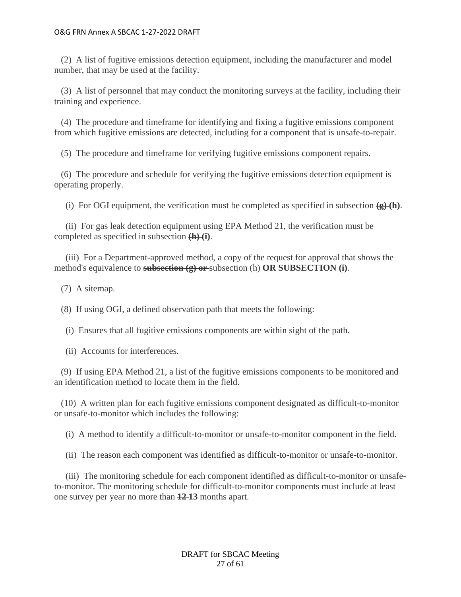(2) A list of fugitive emissions detection equipment, including the manufacturer and model number, that may be used at the facility.

 (3) A list of personnel that may conduct the monitoring surveys at the facility, including their training and experience.

 (4) The procedure and timeframe for identifying and fixing a fugitive emissions component from which fugitive emissions are detected, including for a component that is unsafe-to-repair.

(5) The procedure and timeframe for verifying fugitive emissions component repairs.

 (6) The procedure and schedule for verifying the fugitive emissions detection equipment is operating properly.

(i) For OGI equipment, the verification must be completed as specified in subsection  $(g)(h)$ .

 (ii) For gas leak detection equipment using EPA Method 21, the verification must be completed as specified in subsection **(h) (i)**.

 (iii) For a Department-approved method, a copy of the request for approval that shows the method's equivalence to **subsection (g) or** subsection (h) **OR SUBSECTION (i)**.

(7) A sitemap.

(8) If using OGI, a defined observation path that meets the following:

(i) Ensures that all fugitive emissions components are within sight of the path.

(ii) Accounts for interferences.

 (9) If using EPA Method 21, a list of the fugitive emissions components to be monitored and an identification method to locate them in the field.

 (10) A written plan for each fugitive emissions component designated as difficult-to-monitor or unsafe-to-monitor which includes the following:

(i) A method to identify a difficult-to-monitor or unsafe-to-monitor component in the field.

(ii) The reason each component was identified as difficult-to-monitor or unsafe-to-monitor.

 (iii) The monitoring schedule for each component identified as difficult-to-monitor or unsafeto-monitor. The monitoring schedule for difficult-to-monitor components must include at least one survey per year no more than **12 13** months apart.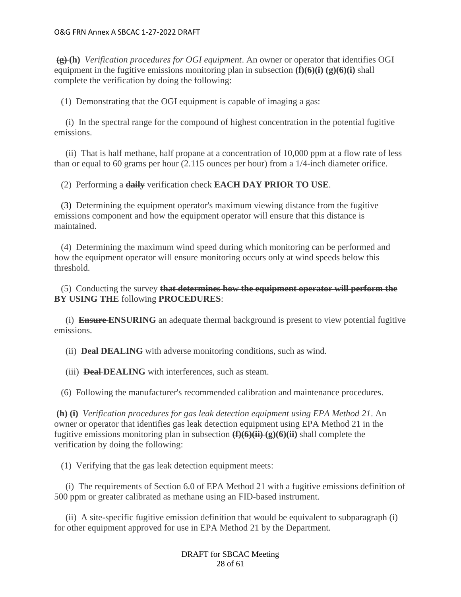**(g) (h)** *Verification procedures for OGI equipment*. An owner or operator that identifies OGI equipment in the fugitive emissions monitoring plan in subsection **(f)(6)(i) (g)(6)(i)** shall complete the verification by doing the following:

(1) Demonstrating that the OGI equipment is capable of imaging a gas:

 (i) In the spectral range for the compound of highest concentration in the potential fugitive emissions.

 (ii) That is half methane, half propane at a concentration of 10,000 ppm at a flow rate of less than or equal to 60 grams per hour (2.115 ounces per hour) from a 1/4-inch diameter orifice.

(2) Performing a **daily** verification check **EACH DAY PRIOR TO USE**.

 (3) Determining the equipment operator's maximum viewing distance from the fugitive emissions component and how the equipment operator will ensure that this distance is maintained.

 (4) Determining the maximum wind speed during which monitoring can be performed and how the equipment operator will ensure monitoring occurs only at wind speeds below this threshold.

 (5) Conducting the survey **that determines how the equipment operator will perform the BY USING THE** following **PROCEDURES**:

 (i) **Ensure ENSURING** an adequate thermal background is present to view potential fugitive emissions.

(ii) **Deal DEALING** with adverse monitoring conditions, such as wind.

(iii) **Deal-DEALING** with interferences, such as steam.

(6) Following the manufacturer's recommended calibration and maintenance procedures.

**(h) (i)** *Verification procedures for gas leak detection equipment using EPA Method 21*. An owner or operator that identifies gas leak detection equipment using EPA Method 21 in the fugitive emissions monitoring plan in subsection **(f)(6)(ii) (g)(6)(ii)** shall complete the verification by doing the following:

(1) Verifying that the gas leak detection equipment meets:

 (i) The requirements of Section 6.0 of EPA Method 21 with a fugitive emissions definition of 500 ppm or greater calibrated as methane using an FID-based instrument.

 (ii) A site-specific fugitive emission definition that would be equivalent to subparagraph (i) for other equipment approved for use in EPA Method 21 by the Department.

> DRAFT for SBCAC Meeting 28 of 61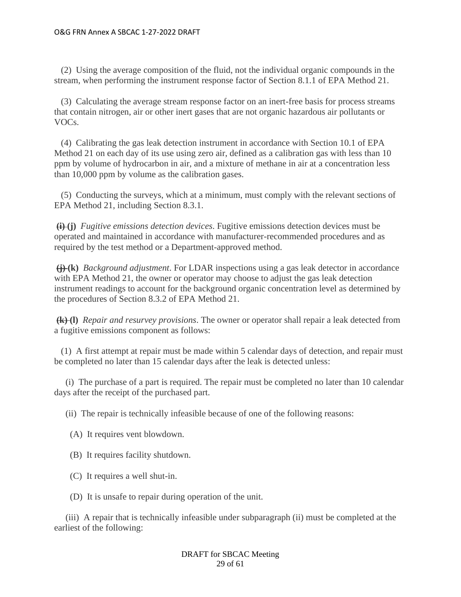(2) Using the average composition of the fluid, not the individual organic compounds in the stream, when performing the instrument response factor of Section 8.1.1 of EPA Method 21.

 (3) Calculating the average stream response factor on an inert-free basis for process streams that contain nitrogen, air or other inert gases that are not organic hazardous air pollutants or VOCs.

 (4) Calibrating the gas leak detection instrument in accordance with Section 10.1 of EPA Method 21 on each day of its use using zero air, defined as a calibration gas with less than 10 ppm by volume of hydrocarbon in air, and a mixture of methane in air at a concentration less than 10,000 ppm by volume as the calibration gases.

 (5) Conducting the surveys, which at a minimum, must comply with the relevant sections of EPA Method 21, including Section 8.3.1.

**(i) (j)** *Fugitive emissions detection devices*. Fugitive emissions detection devices must be operated and maintained in accordance with manufacturer-recommended procedures and as required by the test method or a Department-approved method.

**(j) (k)** *Background adjustment*. For LDAR inspections using a gas leak detector in accordance with EPA Method 21, the owner or operator may choose to adjust the gas leak detection instrument readings to account for the background organic concentration level as determined by the procedures of Section 8.3.2 of EPA Method 21.

**(k) (l)** *Repair and resurvey provisions*. The owner or operator shall repair a leak detected from a fugitive emissions component as follows:

 (1) A first attempt at repair must be made within 5 calendar days of detection, and repair must be completed no later than 15 calendar days after the leak is detected unless:

 (i) The purchase of a part is required. The repair must be completed no later than 10 calendar days after the receipt of the purchased part.

(ii) The repair is technically infeasible because of one of the following reasons:

- (A) It requires vent blowdown.
- (B) It requires facility shutdown.
- (C) It requires a well shut-in.
- (D) It is unsafe to repair during operation of the unit.

 (iii) A repair that is technically infeasible under subparagraph (ii) must be completed at the earliest of the following:

> DRAFT for SBCAC Meeting 29 of 61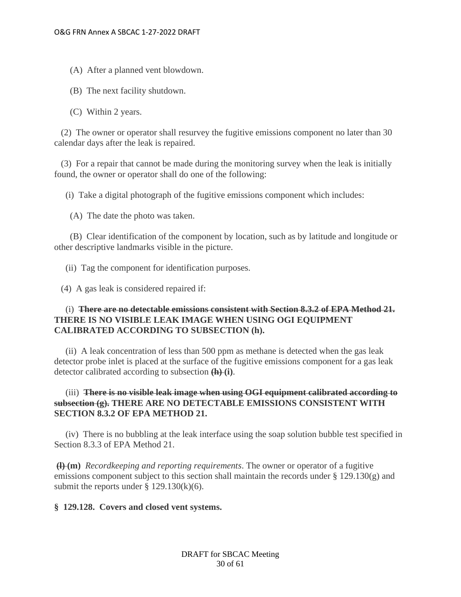- (A) After a planned vent blowdown.
- (B) The next facility shutdown.
- (C) Within 2 years.

 (2) The owner or operator shall resurvey the fugitive emissions component no later than 30 calendar days after the leak is repaired.

 (3) For a repair that cannot be made during the monitoring survey when the leak is initially found, the owner or operator shall do one of the following:

(i) Take a digital photograph of the fugitive emissions component which includes:

(A) The date the photo was taken.

 (B) Clear identification of the component by location, such as by latitude and longitude or other descriptive landmarks visible in the picture.

(ii) Tag the component for identification purposes.

(4) A gas leak is considered repaired if:

## (i) **There are no detectable emissions consistent with Section 8.3.2 of EPA Method 21. THERE IS NO VISIBLE LEAK IMAGE WHEN USING OGI EQUIPMENT CALIBRATED ACCORDING TO SUBSECTION (h).**

 (ii) A leak concentration of less than 500 ppm as methane is detected when the gas leak detector probe inlet is placed at the surface of the fugitive emissions component for a gas leak detector calibrated according to subsection **(h) (i)**.

## (iii) **There is no visible leak image when using OGI equipment calibrated according to subsection (g). THERE ARE NO DETECTABLE EMISSIONS CONSISTENT WITH SECTION 8.3.2 OF EPA METHOD 21.**

 (iv) There is no bubbling at the leak interface using the soap solution bubble test specified in Section 8.3.3 of EPA Method 21.

**(l) (m)** *Recordkeeping and reporting requirements*. The owner or operator of a fugitive emissions component subject to this section shall maintain the records under § 129.130(g) and submit the reports under  $\S$  129.130(k)(6).

### **§ 129.128. Covers and closed vent systems.**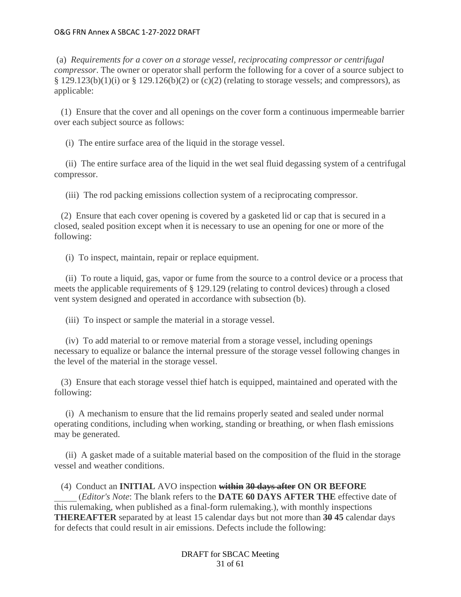(a) *Requirements for a cover on a storage vessel, reciprocating compressor or centrifugal compressor*. The owner or operator shall perform the following for a cover of a source subject to  $§$  129.123(b)(1)(i) or  $§$  129.126(b)(2) or (c)(2) (relating to storage vessels; and compressors), as applicable:

 (1) Ensure that the cover and all openings on the cover form a continuous impermeable barrier over each subject source as follows:

(i) The entire surface area of the liquid in the storage vessel.

 (ii) The entire surface area of the liquid in the wet seal fluid degassing system of a centrifugal compressor.

(iii) The rod packing emissions collection system of a reciprocating compressor.

 (2) Ensure that each cover opening is covered by a gasketed lid or cap that is secured in a closed, sealed position except when it is necessary to use an opening for one or more of the following:

(i) To inspect, maintain, repair or replace equipment.

 (ii) To route a liquid, gas, vapor or fume from the source to a control device or a process that meets the applicable requirements of § 129.129 (relating to control devices) through a closed vent system designed and operated in accordance with subsection (b).

(iii) To inspect or sample the material in a storage vessel.

 (iv) To add material to or remove material from a storage vessel, including openings necessary to equalize or balance the internal pressure of the storage vessel following changes in the level of the material in the storage vessel.

 (3) Ensure that each storage vessel thief hatch is equipped, maintained and operated with the following:

 (i) A mechanism to ensure that the lid remains properly seated and sealed under normal operating conditions, including when working, standing or breathing, or when flash emissions may be generated.

 (ii) A gasket made of a suitable material based on the composition of the fluid in the storage vessel and weather conditions.

# (4) Conduct an **INITIAL** AVO inspection **within 30 days after ON OR BEFORE**

\_\_\_\_\_ (*Editor's Note*: The blank refers to the **DATE 60 DAYS AFTER THE** effective date of this rulemaking, when published as a final-form rulemaking.), with monthly inspections **THEREAFTER** separated by at least 15 calendar days but not more than **30 45** calendar days for defects that could result in air emissions. Defects include the following:

> DRAFT for SBCAC Meeting 31 of 61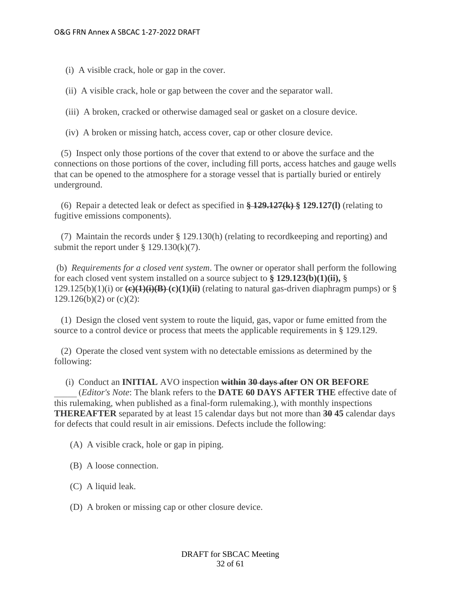(i) A visible crack, hole or gap in the cover.

(ii) A visible crack, hole or gap between the cover and the separator wall.

(iii) A broken, cracked or otherwise damaged seal or gasket on a closure device.

(iv) A broken or missing hatch, access cover, cap or other closure device.

 (5) Inspect only those portions of the cover that extend to or above the surface and the connections on those portions of the cover, including fill ports, access hatches and gauge wells that can be opened to the atmosphere for a storage vessel that is partially buried or entirely underground.

 (6) Repair a detected leak or defect as specified in **§ 129.127(k) § 129.127(l)** (relating to fugitive emissions components).

 (7) Maintain the records under § 129.130(h) (relating to recordkeeping and reporting) and submit the report under  $\S$  129.130(k)(7).

(b) *Requirements for a closed vent system*. The owner or operator shall perform the following for each closed vent system installed on a source subject to **§ 129.123(b)(1)(ii),** §  $129.125(b)(1)(i)$  or  $\left(\frac{e}{1}(i)(B)-(c)(1)(ii)\right)$  (relating to natural gas-driven diaphragm pumps) or §  $129.126(b)(2)$  or  $(c)(2)$ :

 (1) Design the closed vent system to route the liquid, gas, vapor or fume emitted from the source to a control device or process that meets the applicable requirements in § 129.129.

 (2) Operate the closed vent system with no detectable emissions as determined by the following:

(i) Conduct an **INITIAL** AVO inspection **within 30 days after ON OR BEFORE**

\_\_\_\_\_ (*Editor's Note*: The blank refers to the **DATE 60 DAYS AFTER THE** effective date of this rulemaking, when published as a final-form rulemaking.), with monthly inspections **THEREAFTER** separated by at least 15 calendar days but not more than **30 45** calendar days for defects that could result in air emissions. Defects include the following:

(A) A visible crack, hole or gap in piping.

(B) A loose connection.

(C) A liquid leak.

(D) A broken or missing cap or other closure device.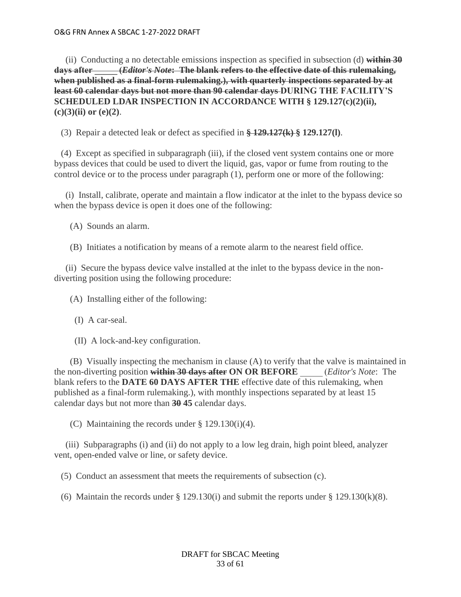(ii) Conducting a no detectable emissions inspection as specified in subsection (d) **within 30 days after \_\_\_\_\_ (***Editor's Note***: The blank refers to the effective date of this rulemaking, when published as a final-form rulemaking.), with quarterly inspections separated by at least 60 calendar days but not more than 90 calendar days DURING THE FACILITY'S SCHEDULED LDAR INSPECTION IN ACCORDANCE WITH § 129.127(c)(2)(ii), (c)(3)(ii) or (e)(2)**.

(3) Repair a detected leak or defect as specified in **§ 129.127(k) § 129.127(l)**.

 (4) Except as specified in subparagraph (iii), if the closed vent system contains one or more bypass devices that could be used to divert the liquid, gas, vapor or fume from routing to the control device or to the process under paragraph (1), perform one or more of the following:

 (i) Install, calibrate, operate and maintain a flow indicator at the inlet to the bypass device so when the bypass device is open it does one of the following:

- (A) Sounds an alarm.
- (B) Initiates a notification by means of a remote alarm to the nearest field office.

 (ii) Secure the bypass device valve installed at the inlet to the bypass device in the nondiverting position using the following procedure:

(A) Installing either of the following:

- (I) A car-seal.
- (II) A lock-and-key configuration.

 (B) Visually inspecting the mechanism in clause (A) to verify that the valve is maintained in the non-diverting position **within 30 days after ON OR BEFORE** \_\_\_\_\_ (*Editor's Note*: The blank refers to the **DATE 60 DAYS AFTER THE** effective date of this rulemaking, when published as a final-form rulemaking.), with monthly inspections separated by at least 15 calendar days but not more than **30 45** calendar days.

(C) Maintaining the records under § 129.130(i)(4).

 (iii) Subparagraphs (i) and (ii) do not apply to a low leg drain, high point bleed, analyzer vent, open-ended valve or line, or safety device.

(5) Conduct an assessment that meets the requirements of subsection (c).

(6) Maintain the records under  $\S$  129.130(i) and submit the reports under  $\S$  129.130(k)(8).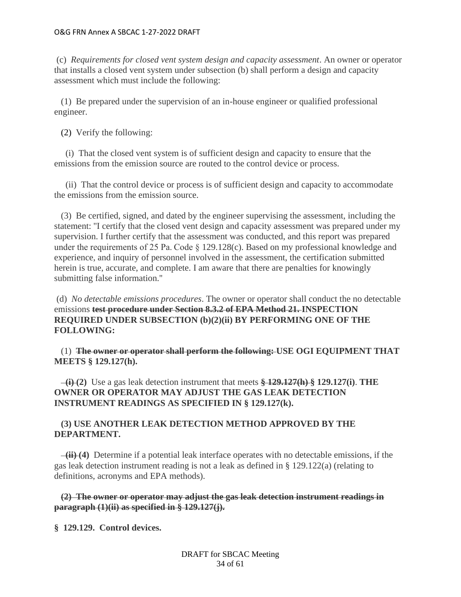(c) *Requirements for closed vent system design and capacity assessment*. An owner or operator that installs a closed vent system under subsection (b) shall perform a design and capacity assessment which must include the following:

 (1) Be prepared under the supervision of an in-house engineer or qualified professional engineer.

(2) Verify the following:

 (i) That the closed vent system is of sufficient design and capacity to ensure that the emissions from the emission source are routed to the control device or process.

 (ii) That the control device or process is of sufficient design and capacity to accommodate the emissions from the emission source.

 (3) Be certified, signed, and dated by the engineer supervising the assessment, including the statement: ''I certify that the closed vent design and capacity assessment was prepared under my supervision. I further certify that the assessment was conducted, and this report was prepared under the requirements of 25 Pa. Code § 129.128(c). Based on my professional knowledge and experience, and inquiry of personnel involved in the assessment, the certification submitted herein is true, accurate, and complete. I am aware that there are penalties for knowingly submitting false information.''

(d) *No detectable emissions procedures*. The owner or operator shall conduct the no detectable emissions **test procedure under Section 8.3.2 of EPA Method 21. INSPECTION REQUIRED UNDER SUBSECTION (b)(2)(ii) BY PERFORMING ONE OF THE FOLLOWING:**

 (1) **The owner or operator shall perform the following: USE OGI EQUIPMENT THAT MEETS § 129.127(h).**

 **(i) (2)** Use a gas leak detection instrument that meets **§ 129.127(h) § 129.127(i)**. **THE OWNER OR OPERATOR MAY ADJUST THE GAS LEAK DETECTION INSTRUMENT READINGS AS SPECIFIED IN § 129.127(k).**

# **(3) USE ANOTHER LEAK DETECTION METHOD APPROVED BY THE DEPARTMENT.**

 **(ii) (4)** Determine if a potential leak interface operates with no detectable emissions, if the gas leak detection instrument reading is not a leak as defined in § 129.122(a) (relating to definitions, acronyms and EPA methods).

 **(2) The owner or operator may adjust the gas leak detection instrument readings in paragraph (1)(ii) as specified in § 129.127(j).**

**§ 129.129. Control devices.**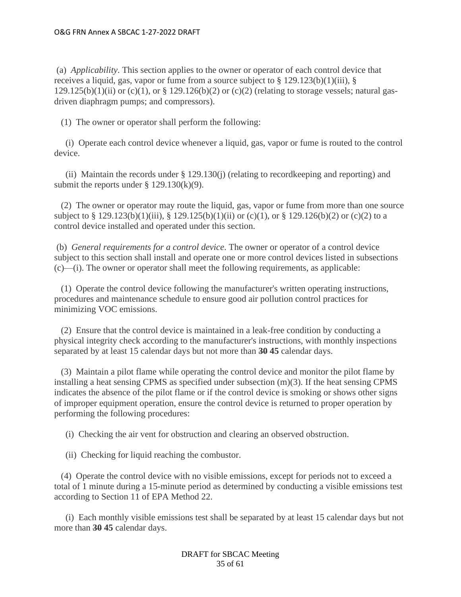(a) *Applicability*. This section applies to the owner or operator of each control device that receives a liquid, gas, vapor or fume from a source subject to  $\S 129.123(b)(1)(iii)$ ,  $\S$ 129.125(b)(1)(ii) or (c)(1), or  $\S$  129.126(b)(2) or (c)(2) (relating to storage vessels; natural gasdriven diaphragm pumps; and compressors).

(1) The owner or operator shall perform the following:

 (i) Operate each control device whenever a liquid, gas, vapor or fume is routed to the control device.

 (ii) Maintain the records under § 129.130(j) (relating to recordkeeping and reporting) and submit the reports under  $\S$  129.130(k)(9).

 (2) The owner or operator may route the liquid, gas, vapor or fume from more than one source subject to § 129.123(b)(1)(iii), § 129.125(b)(1)(ii) or (c)(1), or § 129.126(b)(2) or (c)(2) to a control device installed and operated under this section.

(b) *General requirements for a control device*. The owner or operator of a control device subject to this section shall install and operate one or more control devices listed in subsections (c)—(i). The owner or operator shall meet the following requirements, as applicable:

 (1) Operate the control device following the manufacturer's written operating instructions, procedures and maintenance schedule to ensure good air pollution control practices for minimizing VOC emissions.

 (2) Ensure that the control device is maintained in a leak-free condition by conducting a physical integrity check according to the manufacturer's instructions, with monthly inspections separated by at least 15 calendar days but not more than **30 45** calendar days.

 (3) Maintain a pilot flame while operating the control device and monitor the pilot flame by installing a heat sensing CPMS as specified under subsection  $(m)(3)$ . If the heat sensing CPMS indicates the absence of the pilot flame or if the control device is smoking or shows other signs of improper equipment operation, ensure the control device is returned to proper operation by performing the following procedures:

(i) Checking the air vent for obstruction and clearing an observed obstruction.

(ii) Checking for liquid reaching the combustor.

 (4) Operate the control device with no visible emissions, except for periods not to exceed a total of 1 minute during a 15-minute period as determined by conducting a visible emissions test according to Section 11 of EPA Method 22.

 (i) Each monthly visible emissions test shall be separated by at least 15 calendar days but not more than **30 45** calendar days.

> DRAFT for SBCAC Meeting 35 of 61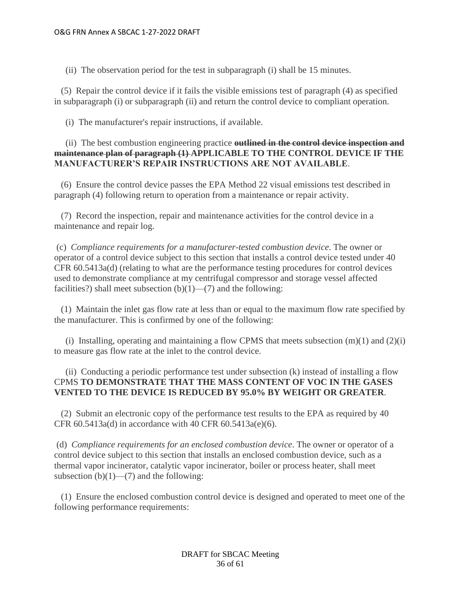(ii) The observation period for the test in subparagraph (i) shall be 15 minutes.

 (5) Repair the control device if it fails the visible emissions test of paragraph (4) as specified in subparagraph (i) or subparagraph (ii) and return the control device to compliant operation.

(i) The manufacturer's repair instructions, if available.

 (ii) The best combustion engineering practice **outlined in the control device inspection and maintenance plan of paragraph (1) APPLICABLE TO THE CONTROL DEVICE IF THE MANUFACTURER'S REPAIR INSTRUCTIONS ARE NOT AVAILABLE**.

 (6) Ensure the control device passes the EPA Method 22 visual emissions test described in paragraph (4) following return to operation from a maintenance or repair activity.

 (7) Record the inspection, repair and maintenance activities for the control device in a maintenance and repair log.

(c) *Compliance requirements for a manufacturer-tested combustion device*. The owner or operator of a control device subject to this section that installs a control device tested under 40 CFR 60.5413a(d) (relating to what are the performance testing procedures for control devices used to demonstrate compliance at my centrifugal compressor and storage vessel affected facilities?) shall meet subsection  $(b)(1)$ — $(7)$  and the following:

 (1) Maintain the inlet gas flow rate at less than or equal to the maximum flow rate specified by the manufacturer. This is confirmed by one of the following:

(i) Installing, operating and maintaining a flow CPMS that meets subsection  $(m)(1)$  and  $(2)(i)$ to measure gas flow rate at the inlet to the control device.

# (ii) Conducting a periodic performance test under subsection (k) instead of installing a flow CPMS **TO DEMONSTRATE THAT THE MASS CONTENT OF VOC IN THE GASES VENTED TO THE DEVICE IS REDUCED BY 95.0% BY WEIGHT OR GREATER**.

 (2) Submit an electronic copy of the performance test results to the EPA as required by 40 CFR 60.5413a(d) in accordance with 40 CFR 60.5413a(e)(6).

(d) *Compliance requirements for an enclosed combustion device*. The owner or operator of a control device subject to this section that installs an enclosed combustion device, such as a thermal vapor incinerator, catalytic vapor incinerator, boiler or process heater, shall meet subsection  $(b)(1)$ — $(7)$  and the following:

 (1) Ensure the enclosed combustion control device is designed and operated to meet one of the following performance requirements: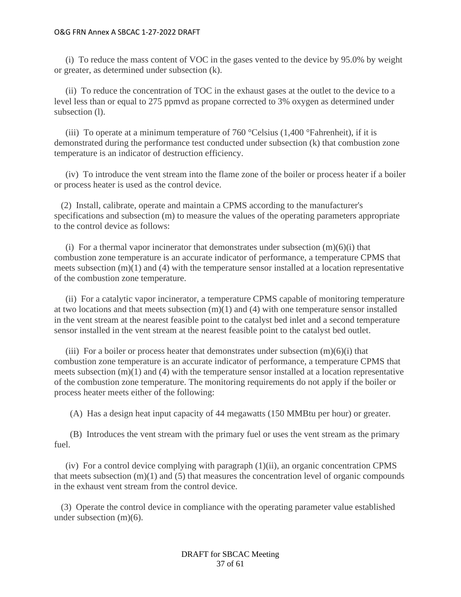(i) To reduce the mass content of VOC in the gases vented to the device by 95.0% by weight or greater, as determined under subsection (k).

 (ii) To reduce the concentration of TOC in the exhaust gases at the outlet to the device to a level less than or equal to 275 ppmvd as propane corrected to 3% oxygen as determined under subsection (l).

(iii) To operate at a minimum temperature of 760  $^{\circ}$ Celsius (1,400  $^{\circ}$ Fahrenheit), if it is demonstrated during the performance test conducted under subsection (k) that combustion zone temperature is an indicator of destruction efficiency.

 (iv) To introduce the vent stream into the flame zone of the boiler or process heater if a boiler or process heater is used as the control device.

 (2) Install, calibrate, operate and maintain a CPMS according to the manufacturer's specifications and subsection (m) to measure the values of the operating parameters appropriate to the control device as follows:

(i) For a thermal vapor incinerator that demonstrates under subsection  $(m)(6)(i)$  that combustion zone temperature is an accurate indicator of performance, a temperature CPMS that meets subsection  $(m)(1)$  and  $(4)$  with the temperature sensor installed at a location representative of the combustion zone temperature.

 (ii) For a catalytic vapor incinerator, a temperature CPMS capable of monitoring temperature at two locations and that meets subsection  $(m)(1)$  and  $(4)$  with one temperature sensor installed in the vent stream at the nearest feasible point to the catalyst bed inlet and a second temperature sensor installed in the vent stream at the nearest feasible point to the catalyst bed outlet.

(iii) For a boiler or process heater that demonstrates under subsection  $(m)(6)(i)$  that combustion zone temperature is an accurate indicator of performance, a temperature CPMS that meets subsection  $(m)(1)$  and  $(4)$  with the temperature sensor installed at a location representative of the combustion zone temperature. The monitoring requirements do not apply if the boiler or process heater meets either of the following:

(A) Has a design heat input capacity of 44 megawatts (150 MMBtu per hour) or greater.

 (B) Introduces the vent stream with the primary fuel or uses the vent stream as the primary fuel.

(iv) For a control device complying with paragraph  $(1)(ii)$ , an organic concentration CPMS that meets subsection  $(m)(1)$  and  $(5)$  that measures the concentration level of organic compounds in the exhaust vent stream from the control device.

 (3) Operate the control device in compliance with the operating parameter value established under subsection (m)(6).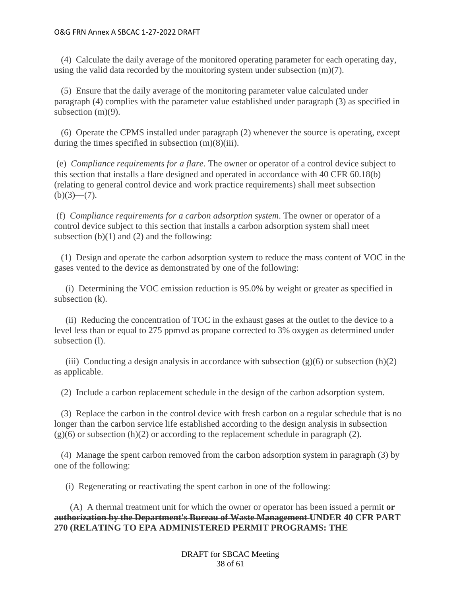(4) Calculate the daily average of the monitored operating parameter for each operating day, using the valid data recorded by the monitoring system under subsection (m)(7).

 (5) Ensure that the daily average of the monitoring parameter value calculated under paragraph (4) complies with the parameter value established under paragraph (3) as specified in subsection  $(m)(9)$ .

 (6) Operate the CPMS installed under paragraph (2) whenever the source is operating, except during the times specified in subsection (m)(8)(iii).

(e) *Compliance requirements for a flare*. The owner or operator of a control device subject to this section that installs a flare designed and operated in accordance with 40 CFR 60.18(b) (relating to general control device and work practice requirements) shall meet subsection  $(b)(3)$ — $(7)$ .

(f) *Compliance requirements for a carbon adsorption system*. The owner or operator of a control device subject to this section that installs a carbon adsorption system shall meet subsection  $(b)(1)$  and  $(2)$  and the following:

 (1) Design and operate the carbon adsorption system to reduce the mass content of VOC in the gases vented to the device as demonstrated by one of the following:

 (i) Determining the VOC emission reduction is 95.0% by weight or greater as specified in subsection (k).

 (ii) Reducing the concentration of TOC in the exhaust gases at the outlet to the device to a level less than or equal to 275 ppmvd as propane corrected to 3% oxygen as determined under subsection (1).

(iii) Conducting a design analysis in accordance with subsection  $(g)(6)$  or subsection  $(h)(2)$ as applicable.

(2) Include a carbon replacement schedule in the design of the carbon adsorption system.

 (3) Replace the carbon in the control device with fresh carbon on a regular schedule that is no longer than the carbon service life established according to the design analysis in subsection  $(g)(6)$  or subsection  $(h)(2)$  or according to the replacement schedule in paragraph (2).

 (4) Manage the spent carbon removed from the carbon adsorption system in paragraph (3) by one of the following:

(i) Regenerating or reactivating the spent carbon in one of the following:

 (A) A thermal treatment unit for which the owner or operator has been issued a permit **or authorization by the Department's Bureau of Waste Management UNDER 40 CFR PART 270 (RELATING TO EPA ADMINISTERED PERMIT PROGRAMS: THE** 

> DRAFT for SBCAC Meeting 38 of 61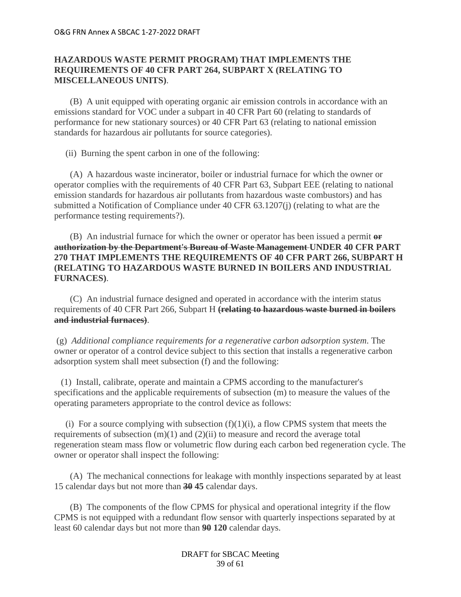# **HAZARDOUS WASTE PERMIT PROGRAM) THAT IMPLEMENTS THE REQUIREMENTS OF 40 CFR PART 264, SUBPART X (RELATING TO MISCELLANEOUS UNITS)**.

 (B) A unit equipped with operating organic air emission controls in accordance with an emissions standard for VOC under a subpart in 40 CFR Part 60 (relating to standards of performance for new stationary sources) or 40 CFR Part 63 (relating to national emission standards for hazardous air pollutants for source categories).

(ii) Burning the spent carbon in one of the following:

 (A) A hazardous waste incinerator, boiler or industrial furnace for which the owner or operator complies with the requirements of 40 CFR Part 63, Subpart EEE (relating to national emission standards for hazardous air pollutants from hazardous waste combustors) and has submitted a Notification of Compliance under 40 CFR 63.1207(j) (relating to what are the performance testing requirements?).

 (B) An industrial furnace for which the owner or operator has been issued a permit **or authorization by the Department's Bureau of Waste Management UNDER 40 CFR PART 270 THAT IMPLEMENTS THE REQUIREMENTS OF 40 CFR PART 266, SUBPART H (RELATING TO HAZARDOUS WASTE BURNED IN BOILERS AND INDUSTRIAL FURNACES)**.

 (C) An industrial furnace designed and operated in accordance with the interim status requirements of 40 CFR Part 266, Subpart H **(relating to hazardous waste burned in boilers and industrial furnaces)**.

(g) *Additional compliance requirements for a regenerative carbon adsorption system*. The owner or operator of a control device subject to this section that installs a regenerative carbon adsorption system shall meet subsection (f) and the following:

 (1) Install, calibrate, operate and maintain a CPMS according to the manufacturer's specifications and the applicable requirements of subsection (m) to measure the values of the operating parameters appropriate to the control device as follows:

(i) For a source complying with subsection  $(f)(1)(i)$ , a flow CPMS system that meets the requirements of subsection  $(m)(1)$  and  $(2)(ii)$  to measure and record the average total regeneration steam mass flow or volumetric flow during each carbon bed regeneration cycle. The owner or operator shall inspect the following:

 (A) The mechanical connections for leakage with monthly inspections separated by at least 15 calendar days but not more than **30 45** calendar days.

 (B) The components of the flow CPMS for physical and operational integrity if the flow CPMS is not equipped with a redundant flow sensor with quarterly inspections separated by at least 60 calendar days but not more than **90 120** calendar days.

> DRAFT for SBCAC Meeting 39 of 61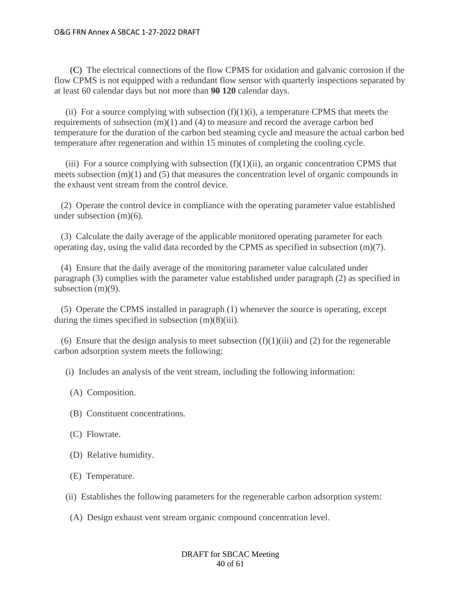(C) The electrical connections of the flow CPMS for oxidation and galvanic corrosion if the flow CPMS is not equipped with a redundant flow sensor with quarterly inspections separated by at least 60 calendar days but not more than **90 120** calendar days.

(ii) For a source complying with subsection  $(f)(1)(i)$ , a temperature CPMS that meets the requirements of subsection (m)(1) and (4) to measure and record the average carbon bed temperature for the duration of the carbon bed steaming cycle and measure the actual carbon bed temperature after regeneration and within 15 minutes of completing the cooling cycle.

(iii) For a source complying with subsection  $(f)(1)(ii)$ , an organic concentration CPMS that meets subsection (m)(1) and (5) that measures the concentration level of organic compounds in the exhaust vent stream from the control device.

 (2) Operate the control device in compliance with the operating parameter value established under subsection (m)(6).

 (3) Calculate the daily average of the applicable monitored operating parameter for each operating day, using the valid data recorded by the CPMS as specified in subsection  $(m)(7)$ .

 (4) Ensure that the daily average of the monitoring parameter value calculated under paragraph (3) complies with the parameter value established under paragraph (2) as specified in subsection (m)(9).

 (5) Operate the CPMS installed in paragraph (1) whenever the source is operating, except during the times specified in subsection  $(m)(8)(iii)$ .

(6) Ensure that the design analysis to meet subsection  $(f)(1)(iii)$  and (2) for the regenerable carbon adsorption system meets the following:

(i) Includes an analysis of the vent stream, including the following information:

- (A) Composition.
- (B) Constituent concentrations.
- (C) Flowrate.
- (D) Relative humidity.
- (E) Temperature.
- (ii) Establishes the following parameters for the regenerable carbon adsorption system:
- (A) Design exhaust vent stream organic compound concentration level.

## DRAFT for SBCAC Meeting 40 of 61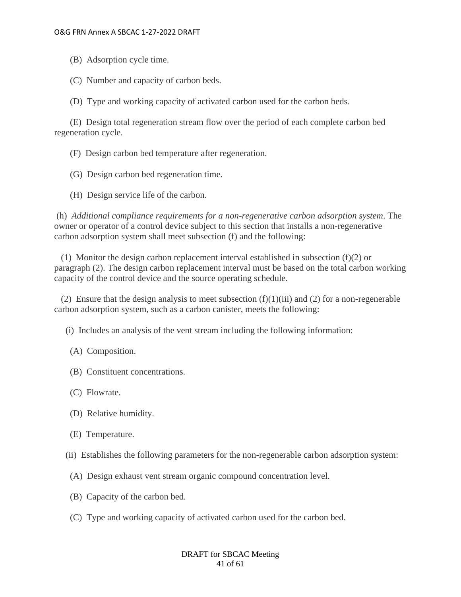(B) Adsorption cycle time.

(C) Number and capacity of carbon beds.

(D) Type and working capacity of activated carbon used for the carbon beds.

 (E) Design total regeneration stream flow over the period of each complete carbon bed regeneration cycle.

(F) Design carbon bed temperature after regeneration.

- (G) Design carbon bed regeneration time.
- (H) Design service life of the carbon.

(h) *Additional compliance requirements for a non-regenerative carbon adsorption system*. The owner or operator of a control device subject to this section that installs a non-regenerative carbon adsorption system shall meet subsection (f) and the following:

(1) Monitor the design carbon replacement interval established in subsection  $(f)(2)$  or paragraph (2). The design carbon replacement interval must be based on the total carbon working capacity of the control device and the source operating schedule.

(2) Ensure that the design analysis to meet subsection  $(f)(1)(iii)$  and (2) for a non-regenerable carbon adsorption system, such as a carbon canister, meets the following:

(i) Includes an analysis of the vent stream including the following information:

- (A) Composition.
- (B) Constituent concentrations.
- (C) Flowrate.
- (D) Relative humidity.
- (E) Temperature.
- (ii) Establishes the following parameters for the non-regenerable carbon adsorption system:
- (A) Design exhaust vent stream organic compound concentration level.
- (B) Capacity of the carbon bed.
- (C) Type and working capacity of activated carbon used for the carbon bed.

### DRAFT for SBCAC Meeting 41 of 61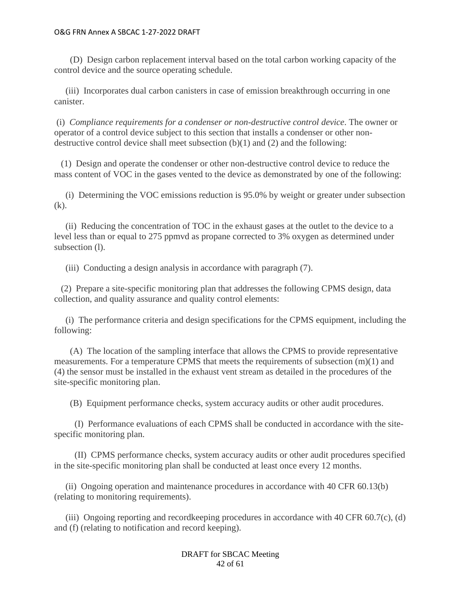(D) Design carbon replacement interval based on the total carbon working capacity of the control device and the source operating schedule.

 (iii) Incorporates dual carbon canisters in case of emission breakthrough occurring in one canister.

(i) *Compliance requirements for a condenser or non-destructive control device*. The owner or operator of a control device subject to this section that installs a condenser or other nondestructive control device shall meet subsection (b)(1) and (2) and the following:

 (1) Design and operate the condenser or other non-destructive control device to reduce the mass content of VOC in the gases vented to the device as demonstrated by one of the following:

 (i) Determining the VOC emissions reduction is 95.0% by weight or greater under subsection (k).

 (ii) Reducing the concentration of TOC in the exhaust gases at the outlet to the device to a level less than or equal to 275 ppmvd as propane corrected to 3% oxygen as determined under subsection (l).

(iii) Conducting a design analysis in accordance with paragraph (7).

 (2) Prepare a site-specific monitoring plan that addresses the following CPMS design, data collection, and quality assurance and quality control elements:

 (i) The performance criteria and design specifications for the CPMS equipment, including the following:

 (A) The location of the sampling interface that allows the CPMS to provide representative measurements. For a temperature CPMS that meets the requirements of subsection (m)(1) and (4) the sensor must be installed in the exhaust vent stream as detailed in the procedures of the site-specific monitoring plan.

(B) Equipment performance checks, system accuracy audits or other audit procedures.

 (I) Performance evaluations of each CPMS shall be conducted in accordance with the sitespecific monitoring plan.

 (II) CPMS performance checks, system accuracy audits or other audit procedures specified in the site-specific monitoring plan shall be conducted at least once every 12 months.

 (ii) Ongoing operation and maintenance procedures in accordance with 40 CFR 60.13(b) (relating to monitoring requirements).

 (iii) Ongoing reporting and recordkeeping procedures in accordance with 40 CFR 60.7(c), (d) and (f) (relating to notification and record keeping).

> DRAFT for SBCAC Meeting 42 of 61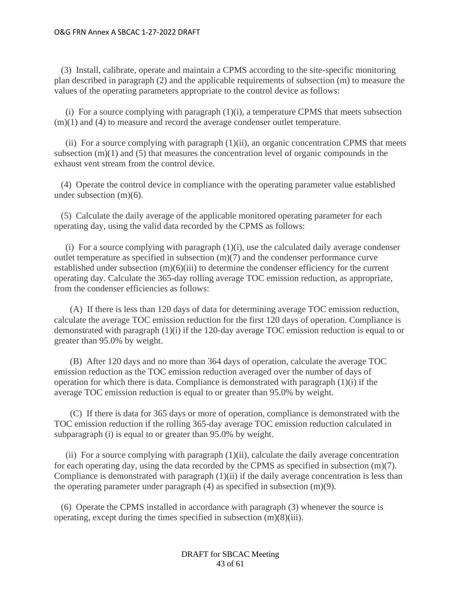(3) Install, calibrate, operate and maintain a CPMS according to the site-specific monitoring plan described in paragraph (2) and the applicable requirements of subsection (m) to measure the values of the operating parameters appropriate to the control device as follows:

 (i) For a source complying with paragraph (1)(i), a temperature CPMS that meets subsection  $(m)(1)$  and  $(4)$  to measure and record the average condenser outlet temperature.

(ii) For a source complying with paragraph  $(1)(ii)$ , an organic concentration CPMS that meets subsection (m)(1) and (5) that measures the concentration level of organic compounds in the exhaust vent stream from the control device.

 (4) Operate the control device in compliance with the operating parameter value established under subsection (m)(6).

 (5) Calculate the daily average of the applicable monitored operating parameter for each operating day, using the valid data recorded by the CPMS as follows:

 (i) For a source complying with paragraph (1)(i), use the calculated daily average condenser outlet temperature as specified in subsection (m)(7) and the condenser performance curve established under subsection (m)(6)(iii) to determine the condenser efficiency for the current operating day. Calculate the 365-day rolling average TOC emission reduction, as appropriate, from the condenser efficiencies as follows:

 (A) If there is less than 120 days of data for determining average TOC emission reduction, calculate the average TOC emission reduction for the first 120 days of operation. Compliance is demonstrated with paragraph (1)(i) if the 120-day average TOC emission reduction is equal to or greater than 95.0% by weight.

 (B) After 120 days and no more than 364 days of operation, calculate the average TOC emission reduction as the TOC emission reduction averaged over the number of days of operation for which there is data. Compliance is demonstrated with paragraph (1)(i) if the average TOC emission reduction is equal to or greater than 95.0% by weight.

 (C) If there is data for 365 days or more of operation, compliance is demonstrated with the TOC emission reduction if the rolling 365-day average TOC emission reduction calculated in subparagraph (i) is equal to or greater than 95.0% by weight.

(ii) For a source complying with paragraph  $(1)(ii)$ , calculate the daily average concentration for each operating day, using the data recorded by the CPMS as specified in subsection (m)(7). Compliance is demonstrated with paragraph (1)(ii) if the daily average concentration is less than the operating parameter under paragraph (4) as specified in subsection (m)(9).

 (6) Operate the CPMS installed in accordance with paragraph (3) whenever the source is operating, except during the times specified in subsection (m)(8)(iii).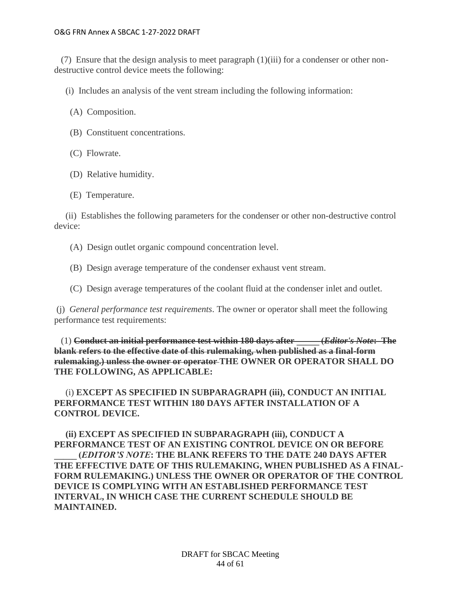(7) Ensure that the design analysis to meet paragraph (1)(iii) for a condenser or other nondestructive control device meets the following:

(i) Includes an analysis of the vent stream including the following information:

(A) Composition.

- (B) Constituent concentrations.
- (C) Flowrate.
- (D) Relative humidity.
- (E) Temperature.

 (ii) Establishes the following parameters for the condenser or other non-destructive control device:

- (A) Design outlet organic compound concentration level.
- (B) Design average temperature of the condenser exhaust vent stream.
- (C) Design average temperatures of the coolant fluid at the condenser inlet and outlet.

(j) *General performance test requirements*. The owner or operator shall meet the following performance test requirements:

 (1) **Conduct an initial performance test within 180 days after \_\_\_\_\_ (***Editor's Note***: The blank refers to the effective date of this rulemaking, when published as a final-form rulemaking.) unless the owner or operator THE OWNER OR OPERATOR SHALL DO THE FOLLOWING, AS APPLICABLE:**

 (i) **EXCEPT AS SPECIFIED IN SUBPARAGRAPH (iii), CONDUCT AN INITIAL PERFORMANCE TEST WITHIN 180 DAYS AFTER INSTALLATION OF A CONTROL DEVICE.**

 **(ii) EXCEPT AS SPECIFIED IN SUBPARAGRAPH (iii), CONDUCT A PERFORMANCE TEST OF AN EXISTING CONTROL DEVICE ON OR BEFORE \_\_\_\_\_ (***EDITOR'S NOTE***: THE BLANK REFERS TO THE DATE 240 DAYS AFTER THE EFFECTIVE DATE OF THIS RULEMAKING, WHEN PUBLISHED AS A FINAL-FORM RULEMAKING.) UNLESS THE OWNER OR OPERATOR OF THE CONTROL DEVICE IS COMPLYING WITH AN ESTABLISHED PERFORMANCE TEST INTERVAL, IN WHICH CASE THE CURRENT SCHEDULE SHOULD BE MAINTAINED.**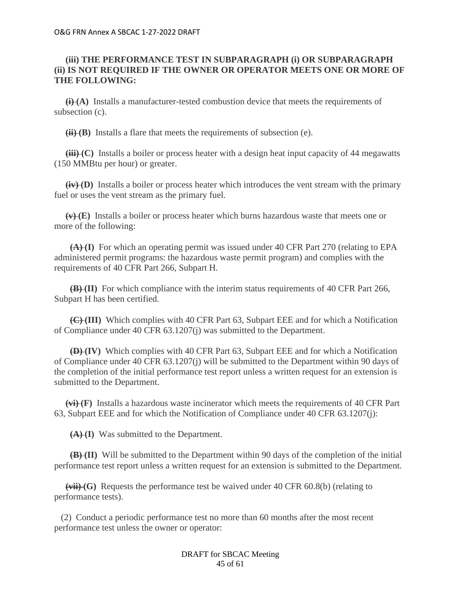# **(iii) THE PERFORMANCE TEST IN SUBPARAGRAPH (i) OR SUBPARAGRAPH (ii) IS NOT REQUIRED IF THE OWNER OR OPERATOR MEETS ONE OR MORE OF THE FOLLOWING:**

 **(i) (A)** Installs a manufacturer-tested combustion device that meets the requirements of subsection (c).

 **(ii) (B)** Installs a flare that meets the requirements of subsection (e).

**(iii) (C)** Installs a boiler or process heater with a design heat input capacity of 44 megawatts (150 MMBtu per hour) or greater.

 **(iv) (D)** Installs a boiler or process heater which introduces the vent stream with the primary fuel or uses the vent stream as the primary fuel.

 **(v) (E)** Installs a boiler or process heater which burns hazardous waste that meets one or more of the following:

 **(A) (I)** For which an operating permit was issued under 40 CFR Part 270 (relating to EPA administered permit programs: the hazardous waste permit program) and complies with the requirements of 40 CFR Part 266, Subpart H.

 **(B) (II)** For which compliance with the interim status requirements of 40 CFR Part 266, Subpart H has been certified.

 **(C) (III)** Which complies with 40 CFR Part 63, Subpart EEE and for which a Notification of Compliance under 40 CFR 63.1207(j) was submitted to the Department.

 **(D) (IV)** Which complies with 40 CFR Part 63, Subpart EEE and for which a Notification of Compliance under 40 CFR 63.1207(j) will be submitted to the Department within 90 days of the completion of the initial performance test report unless a written request for an extension is submitted to the Department.

 **(vi) (F)** Installs a hazardous waste incinerator which meets the requirements of 40 CFR Part 63, Subpart EEE and for which the Notification of Compliance under 40 CFR 63.1207(j):

 **(A) (I)** Was submitted to the Department.

 **(B) (II)** Will be submitted to the Department within 90 days of the completion of the initial performance test report unless a written request for an extension is submitted to the Department.

 **(vii) (G)** Requests the performance test be waived under 40 CFR 60.8(b) (relating to performance tests).

 (2) Conduct a periodic performance test no more than 60 months after the most recent performance test unless the owner or operator:

> DRAFT for SBCAC Meeting 45 of 61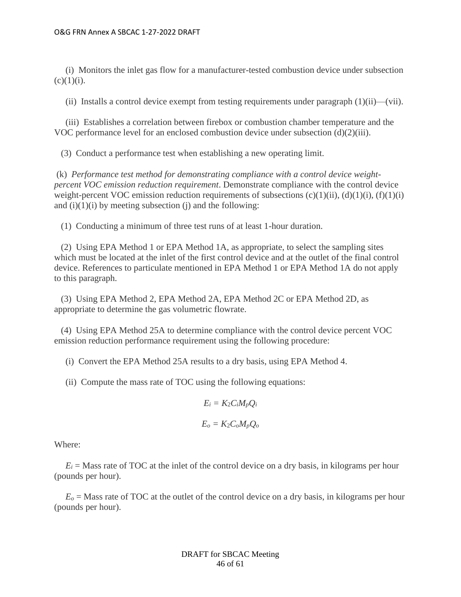(i) Monitors the inlet gas flow for a manufacturer-tested combustion device under subsection  $(c)(1)(i)$ .

(ii) Installs a control device exempt from testing requirements under paragraph  $(1)(ii)$ —(vii).

 (iii) Establishes a correlation between firebox or combustion chamber temperature and the VOC performance level for an enclosed combustion device under subsection  $(d)(2)(iii)$ .

(3) Conduct a performance test when establishing a new operating limit.

(k) *Performance test method for demonstrating compliance with a control device weightpercent VOC emission reduction requirement*. Demonstrate compliance with the control device weight-percent VOC emission reduction requirements of subsections  $(c)(1)(ii)$ ,  $(d)(1)(i)$ ,  $(f)(1)(i)$ and  $(i)(1)(i)$  by meeting subsection  $(i)$  and the following:

(1) Conducting a minimum of three test runs of at least 1-hour duration.

 (2) Using EPA Method 1 or EPA Method 1A, as appropriate, to select the sampling sites which must be located at the inlet of the first control device and at the outlet of the final control device. References to particulate mentioned in EPA Method 1 or EPA Method 1A do not apply to this paragraph.

 (3) Using EPA Method 2, EPA Method 2A, EPA Method 2C or EPA Method 2D, as appropriate to determine the gas volumetric flowrate.

 (4) Using EPA Method 25A to determine compliance with the control device percent VOC emission reduction performance requirement using the following procedure:

(i) Convert the EPA Method 25A results to a dry basis, using EPA Method 4.

(ii) Compute the mass rate of TOC using the following equations:

$$
E_i = K_2 C_i M_p Q_i
$$

$$
E_o = K_2 C_o M_p Q_o
$$

Where:

 $E_i$  = Mass rate of TOC at the inlet of the control device on a dry basis, in kilograms per hour (pounds per hour).

 $E<sub>o</sub>$  = Mass rate of TOC at the outlet of the control device on a dry basis, in kilograms per hour (pounds per hour).

> DRAFT for SBCAC Meeting 46 of 61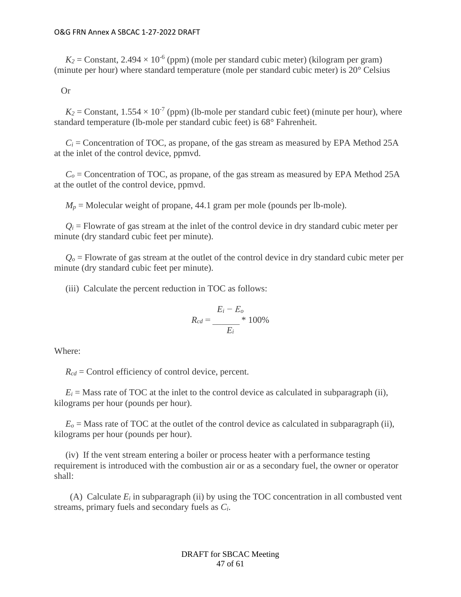$K_2$  = Constant, 2.494  $\times$  10<sup>-6</sup> (ppm) (mole per standard cubic meter) (kilogram per gram) (minute per hour) where standard temperature (mole per standard cubic meter) is 20° Celsius

Or

 $K_2$  = Constant,  $1.554 \times 10^{-7}$  (ppm) (lb-mole per standard cubic feet) (minute per hour), where standard temperature (lb-mole per standard cubic feet) is 68° Fahrenheit.

 $C_i$  = Concentration of TOC, as propane, of the gas stream as measured by EPA Method 25A at the inlet of the control device, ppmvd.

 $C_0$  = Concentration of TOC, as propane, of the gas stream as measured by EPA Method 25A at the outlet of the control device, ppmvd.

 $M_p$  = Molecular weight of propane, 44.1 gram per mole (pounds per lb-mole).

 $Q_i$  = Flowrate of gas stream at the inlet of the control device in dry standard cubic meter per minute (dry standard cubic feet per minute).

 $Q<sub>o</sub>$  = Flowrate of gas stream at the outlet of the control device in dry standard cubic meter per minute (dry standard cubic feet per minute).

(iii) Calculate the percent reduction in TOC as follows:

$$
R_{cd} = \frac{E_i - E_o}{E_i} \cdot 100\%
$$

Where:

 $R_{cd}$  = Control efficiency of control device, percent.

 $E_i$  = Mass rate of TOC at the inlet to the control device as calculated in subparagraph (ii), kilograms per hour (pounds per hour).

 $E<sub>o</sub>$  = Mass rate of TOC at the outlet of the control device as calculated in subparagraph (ii), kilograms per hour (pounds per hour).

 (iv) If the vent stream entering a boiler or process heater with a performance testing requirement is introduced with the combustion air or as a secondary fuel, the owner or operator shall:

(A) Calculate  $E_i$  in subparagraph (ii) by using the TOC concentration in all combusted vent streams, primary fuels and secondary fuels as *Ci*.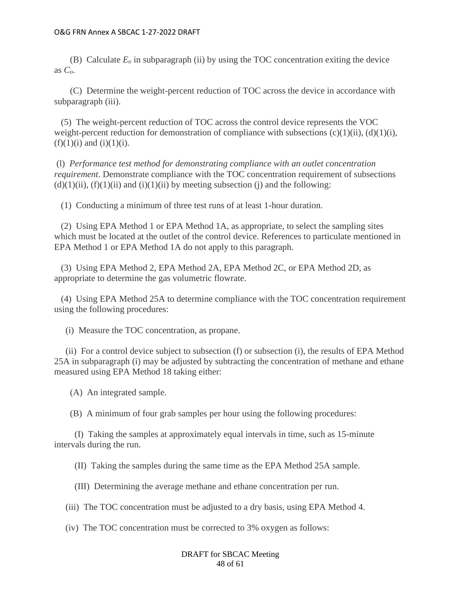(B) Calculate  $E<sub>o</sub>$  in subparagraph (ii) by using the TOC concentration exiting the device as *Co*.

 (C) Determine the weight-percent reduction of TOC across the device in accordance with subparagraph (iii).

 (5) The weight-percent reduction of TOC across the control device represents the VOC weight-percent reduction for demonstration of compliance with subsections  $(c)(1)(ii)$ ,  $(d)(1)(i)$ ,  $(f)(1)(i)$  and  $(i)(1)(i)$ .

(l) *Performance test method for demonstrating compliance with an outlet concentration requirement*. Demonstrate compliance with the TOC concentration requirement of subsections  $(d)(1)(ii)$ ,  $(f)(1)(ii)$  and  $(i)(1)(ii)$  by meeting subsection (j) and the following:

(1) Conducting a minimum of three test runs of at least 1-hour duration.

 (2) Using EPA Method 1 or EPA Method 1A, as appropriate, to select the sampling sites which must be located at the outlet of the control device. References to particulate mentioned in EPA Method 1 or EPA Method 1A do not apply to this paragraph.

 (3) Using EPA Method 2, EPA Method 2A, EPA Method 2C, or EPA Method 2D, as appropriate to determine the gas volumetric flowrate.

 (4) Using EPA Method 25A to determine compliance with the TOC concentration requirement using the following procedures:

(i) Measure the TOC concentration, as propane.

 (ii) For a control device subject to subsection (f) or subsection (i), the results of EPA Method 25A in subparagraph (i) may be adjusted by subtracting the concentration of methane and ethane measured using EPA Method 18 taking either:

(A) An integrated sample.

(B) A minimum of four grab samples per hour using the following procedures:

 (I) Taking the samples at approximately equal intervals in time, such as 15-minute intervals during the run.

(II) Taking the samples during the same time as the EPA Method 25A sample.

(III) Determining the average methane and ethane concentration per run.

(iii) The TOC concentration must be adjusted to a dry basis, using EPA Method 4.

(iv) The TOC concentration must be corrected to 3% oxygen as follows:

DRAFT for SBCAC Meeting 48 of 61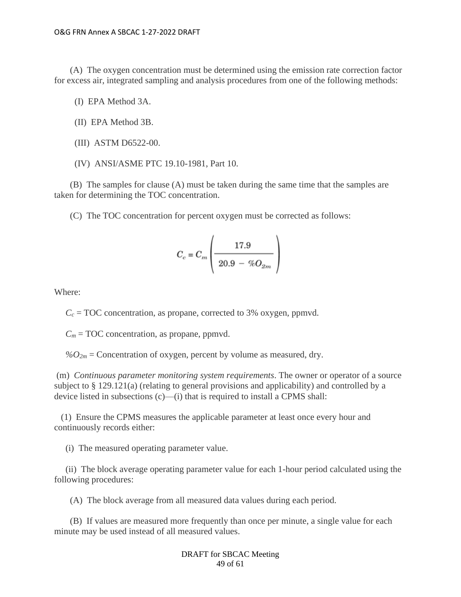(A) The oxygen concentration must be determined using the emission rate correction factor for excess air, integrated sampling and analysis procedures from one of the following methods:

(I) EPA Method 3A.

- (II) EPA Method 3B.
- (III) ASTM D6522-00.
- (IV) ANSI/ASME PTC 19.10-1981, Part 10.

 (B) The samples for clause (A) must be taken during the same time that the samples are taken for determining the TOC concentration.

(C) The TOC concentration for percent oxygen must be corrected as follows:

$$
C_c = C_m \left( \frac{17.9}{20.9 - \% O_{2m}} \right)
$$

Where:

 $C_c$  = TOC concentration, as propane, corrected to 3% oxygen, ppmvd.

 $C_m$  = TOC concentration, as propane, ppmvd.

 $\%O_{2m}$  = Concentration of oxygen, percent by volume as measured, dry.

(m) *Continuous parameter monitoring system requirements*. The owner or operator of a source subject to § 129.121(a) (relating to general provisions and applicability) and controlled by a device listed in subsections (c)—(i) that is required to install a CPMS shall:

 (1) Ensure the CPMS measures the applicable parameter at least once every hour and continuously records either:

(i) The measured operating parameter value.

 (ii) The block average operating parameter value for each 1-hour period calculated using the following procedures:

(A) The block average from all measured data values during each period.

 (B) If values are measured more frequently than once per minute, a single value for each minute may be used instead of all measured values.

> DRAFT for SBCAC Meeting 49 of 61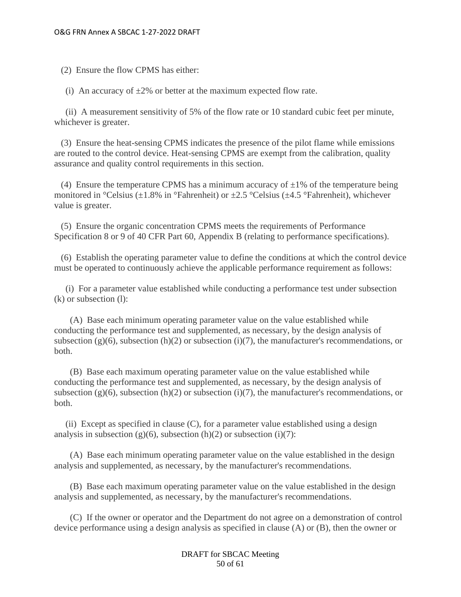(2) Ensure the flow CPMS has either:

(i) An accuracy of  $\pm 2\%$  or better at the maximum expected flow rate.

 (ii) A measurement sensitivity of 5% of the flow rate or 10 standard cubic feet per minute, whichever is greater.

 (3) Ensure the heat-sensing CPMS indicates the presence of the pilot flame while emissions are routed to the control device. Heat-sensing CPMS are exempt from the calibration, quality assurance and quality control requirements in this section.

(4) Ensure the temperature CPMS has a minimum accuracy of  $\pm 1\%$  of the temperature being monitored in °Celsius ( $\pm 1.8\%$  in °Fahrenheit) or  $\pm 2.5$  °Celsius ( $\pm 4.5$  °Fahrenheit), whichever value is greater.

 (5) Ensure the organic concentration CPMS meets the requirements of Performance Specification 8 or 9 of 40 CFR Part 60, Appendix B (relating to performance specifications).

 (6) Establish the operating parameter value to define the conditions at which the control device must be operated to continuously achieve the applicable performance requirement as follows:

 (i) For a parameter value established while conducting a performance test under subsection (k) or subsection (l):

 (A) Base each minimum operating parameter value on the value established while conducting the performance test and supplemented, as necessary, by the design analysis of subsection (g)(6), subsection (h)(2) or subsection (i)(7), the manufacturer's recommendations, or both.

 (B) Base each maximum operating parameter value on the value established while conducting the performance test and supplemented, as necessary, by the design analysis of subsection (g)(6), subsection (h)(2) or subsection (i)(7), the manufacturer's recommendations, or both.

 (ii) Except as specified in clause (C), for a parameter value established using a design analysis in subsection (g)(6), subsection (h)(2) or subsection (i)(7):

 (A) Base each minimum operating parameter value on the value established in the design analysis and supplemented, as necessary, by the manufacturer's recommendations.

 (B) Base each maximum operating parameter value on the value established in the design analysis and supplemented, as necessary, by the manufacturer's recommendations.

 (C) If the owner or operator and the Department do not agree on a demonstration of control device performance using a design analysis as specified in clause (A) or (B), then the owner or

> DRAFT for SBCAC Meeting 50 of 61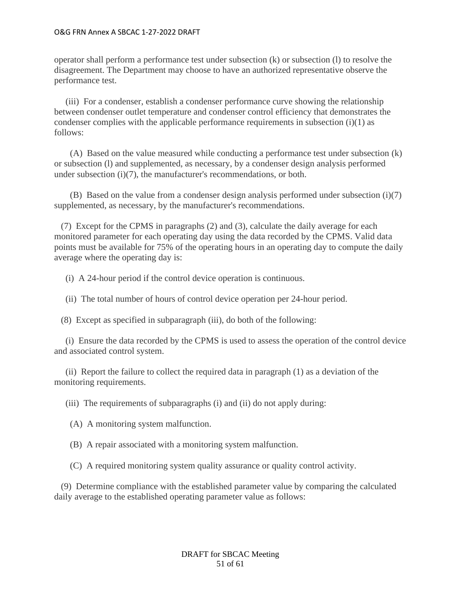operator shall perform a performance test under subsection (k) or subsection (l) to resolve the disagreement. The Department may choose to have an authorized representative observe the performance test.

 (iii) For a condenser, establish a condenser performance curve showing the relationship between condenser outlet temperature and condenser control efficiency that demonstrates the condenser complies with the applicable performance requirements in subsection (i)(1) as follows:

 (A) Based on the value measured while conducting a performance test under subsection (k) or subsection (l) and supplemented, as necessary, by a condenser design analysis performed under subsection (i)(7), the manufacturer's recommendations, or both.

 (B) Based on the value from a condenser design analysis performed under subsection (i)(7) supplemented, as necessary, by the manufacturer's recommendations.

 (7) Except for the CPMS in paragraphs (2) and (3), calculate the daily average for each monitored parameter for each operating day using the data recorded by the CPMS. Valid data points must be available for 75% of the operating hours in an operating day to compute the daily average where the operating day is:

(i) A 24-hour period if the control device operation is continuous.

(ii) The total number of hours of control device operation per 24-hour period.

(8) Except as specified in subparagraph (iii), do both of the following:

 (i) Ensure the data recorded by the CPMS is used to assess the operation of the control device and associated control system.

 (ii) Report the failure to collect the required data in paragraph (1) as a deviation of the monitoring requirements.

(iii) The requirements of subparagraphs (i) and (ii) do not apply during:

(A) A monitoring system malfunction.

(B) A repair associated with a monitoring system malfunction.

(C) A required monitoring system quality assurance or quality control activity.

 (9) Determine compliance with the established parameter value by comparing the calculated daily average to the established operating parameter value as follows: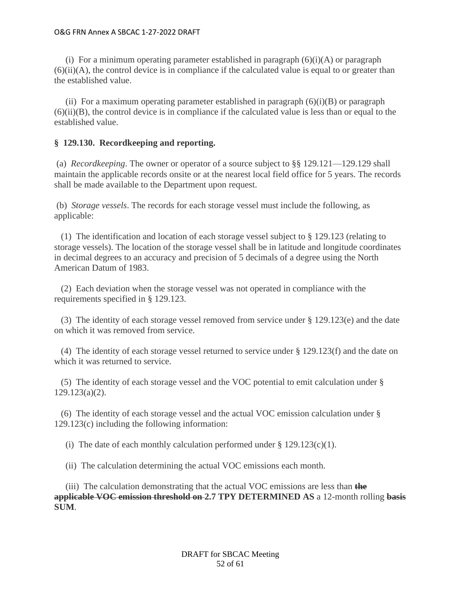(i) For a minimum operating parameter established in paragraph  $(6)(i)(A)$  or paragraph  $(6)(ii)(A)$ , the control device is in compliance if the calculated value is equal to or greater than the established value.

(ii) For a maximum operating parameter established in paragraph  $(6)(i)(B)$  or paragraph  $(6)(ii)(B)$ , the control device is in compliance if the calculated value is less than or equal to the established value.

# **§ 129.130. Recordkeeping and reporting.**

(a) *Recordkeeping*. The owner or operator of a source subject to §§ 129.121—129.129 shall maintain the applicable records onsite or at the nearest local field office for 5 years. The records shall be made available to the Department upon request.

(b) *Storage vessels*. The records for each storage vessel must include the following, as applicable:

 (1) The identification and location of each storage vessel subject to § 129.123 (relating to storage vessels). The location of the storage vessel shall be in latitude and longitude coordinates in decimal degrees to an accuracy and precision of 5 decimals of a degree using the North American Datum of 1983.

 (2) Each deviation when the storage vessel was not operated in compliance with the requirements specified in § 129.123.

 (3) The identity of each storage vessel removed from service under § 129.123(e) and the date on which it was removed from service.

 (4) The identity of each storage vessel returned to service under § 129.123(f) and the date on which it was returned to service.

 (5) The identity of each storage vessel and the VOC potential to emit calculation under § 129.123(a)(2).

 (6) The identity of each storage vessel and the actual VOC emission calculation under § 129.123(c) including the following information:

(i) The date of each monthly calculation performed under  $\S 129.123(c)(1)$ .

(ii) The calculation determining the actual VOC emissions each month.

 (iii) The calculation demonstrating that the actual VOC emissions are less than **the applicable VOC emission threshold on 2.7 TPY DETERMINED AS** a 12-month rolling **basis SUM**.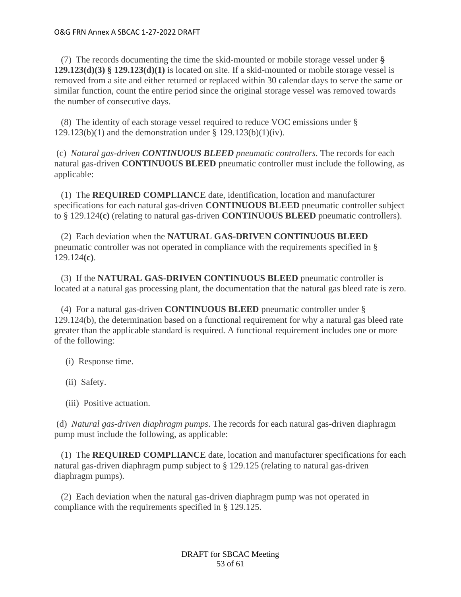(7) The records documenting the time the skid-mounted or mobile storage vessel under **§ 129.123(d)(3) § 129.123(d)(1)** is located on site. If a skid-mounted or mobile storage vessel is removed from a site and either returned or replaced within 30 calendar days to serve the same or similar function, count the entire period since the original storage vessel was removed towards the number of consecutive days.

 (8) The identity of each storage vessel required to reduce VOC emissions under § 129.123(b)(1) and the demonstration under § 129.123(b)(1)(iv).

(c) *Natural gas-driven CONTINUOUS BLEED pneumatic controllers*. The records for each natural gas-driven **CONTINUOUS BLEED** pneumatic controller must include the following, as applicable:

 (1) The **REQUIRED COMPLIANCE** date, identification, location and manufacturer specifications for each natural gas-driven **CONTINUOUS BLEED** pneumatic controller subject to § 129.124**(c)** (relating to natural gas-driven **CONTINUOUS BLEED** pneumatic controllers).

 (2) Each deviation when the **NATURAL GAS-DRIVEN CONTINUOUS BLEED** pneumatic controller was not operated in compliance with the requirements specified in § 129.124**(c)**.

 (3) If the **NATURAL GAS-DRIVEN CONTINUOUS BLEED** pneumatic controller is located at a natural gas processing plant, the documentation that the natural gas bleed rate is zero.

 (4) For a natural gas-driven **CONTINUOUS BLEED** pneumatic controller under § 129.124(b), the determination based on a functional requirement for why a natural gas bleed rate greater than the applicable standard is required. A functional requirement includes one or more of the following:

- (i) Response time.
- (ii) Safety.
- (iii) Positive actuation.

(d) *Natural gas-driven diaphragm pumps*. The records for each natural gas-driven diaphragm pump must include the following, as applicable:

 (1) The **REQUIRED COMPLIANCE** date, location and manufacturer specifications for each natural gas-driven diaphragm pump subject to § 129.125 (relating to natural gas-driven diaphragm pumps).

 (2) Each deviation when the natural gas-driven diaphragm pump was not operated in compliance with the requirements specified in § 129.125.

> DRAFT for SBCAC Meeting 53 of 61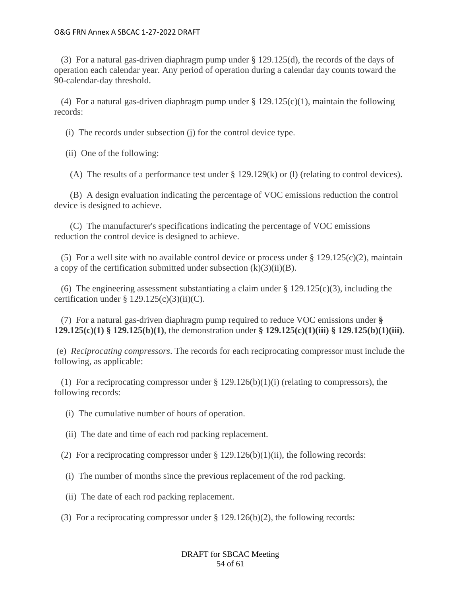(3) For a natural gas-driven diaphragm pump under § 129.125(d), the records of the days of operation each calendar year. Any period of operation during a calendar day counts toward the 90-calendar-day threshold.

(4) For a natural gas-driven diaphragm pump under  $\S 129.125(c)(1)$ , maintain the following records:

(i) The records under subsection (j) for the control device type.

(ii) One of the following:

(A) The results of a performance test under § 129.129(k) or (l) (relating to control devices).

 (B) A design evaluation indicating the percentage of VOC emissions reduction the control device is designed to achieve.

 (C) The manufacturer's specifications indicating the percentage of VOC emissions reduction the control device is designed to achieve.

(5) For a well site with no available control device or process under  $\S 129.125(c)(2)$ , maintain a copy of the certification submitted under subsection  $(k)(3)(ii)(B)$ .

(6) The engineering assessment substantiating a claim under  $\S 129.125(c)(3)$ , including the certification under  $\S 129.125(c)(3)(ii)(C)$ .

 (7) For a natural gas-driven diaphragm pump required to reduce VOC emissions under **§ 129.125(c)(1) § 129.125(b)(1)**, the demonstration under **§ 129.125(c)(1)(iii) § 129.125(b)(1)(iii)**.

(e) *Reciprocating compressors*. The records for each reciprocating compressor must include the following, as applicable:

(1) For a reciprocating compressor under  $\S 129.126(b)(1)(i)$  (relating to compressors), the following records:

(i) The cumulative number of hours of operation.

(ii) The date and time of each rod packing replacement.

(2) For a reciprocating compressor under  $\S 129.126(b)(1)(ii)$ , the following records:

- (i) The number of months since the previous replacement of the rod packing.
- (ii) The date of each rod packing replacement.
- (3) For a reciprocating compressor under § 129.126(b)(2), the following records:

DRAFT for SBCAC Meeting 54 of 61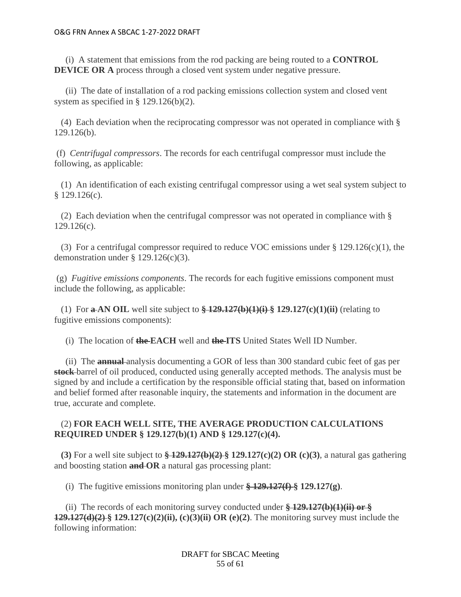(i) A statement that emissions from the rod packing are being routed to a **CONTROL DEVICE OR A** process through a closed vent system under negative pressure.

 (ii) The date of installation of a rod packing emissions collection system and closed vent system as specified in § 129.126(b)(2).

 (4) Each deviation when the reciprocating compressor was not operated in compliance with § 129.126(b).

(f) *Centrifugal compressors*. The records for each centrifugal compressor must include the following, as applicable:

 (1) An identification of each existing centrifugal compressor using a wet seal system subject to  $$129.126(c).$ 

 (2) Each deviation when the centrifugal compressor was not operated in compliance with § 129.126(c).

 (3) For a centrifugal compressor required to reduce VOC emissions under § 129.126(c)(1), the demonstration under § 129.126(c)(3).

(g) *Fugitive emissions components*. The records for each fugitive emissions component must include the following, as applicable:

(1) For **a-AN OIL** well site subject to  $\frac{129.127(b)(1)(i)}{2}$  **129.127(c)(1)(ii)** (relating to fugitive emissions components):

(i) The location of **the EACH** well and **the ITS** United States Well ID Number.

 (ii) The **annual** analysis documenting a GOR of less than 300 standard cubic feet of gas per **stock** barrel of oil produced, conducted using generally accepted methods. The analysis must be signed by and include a certification by the responsible official stating that, based on information and belief formed after reasonable inquiry, the statements and information in the document are true, accurate and complete.

# (2) **FOR EACH WELL SITE, THE AVERAGE PRODUCTION CALCULATIONS REQUIRED UNDER § 129.127(b)(1) AND § 129.127(c)(4).**

 **(3)** For a well site subject to **§ 129.127(b)(2) § 129.127(c)(2) OR (c)(3)**, a natural gas gathering and boosting station **and OR** a natural gas processing plant:

(i) The fugitive emissions monitoring plan under **§ 129.127(f) § 129.127(g)**.

 (ii) The records of each monitoring survey conducted under **§ 129.127(b)(1)(ii) or § 129.127(d)(2) § 129.127(c)(2)(ii), (c)(3)(ii) OR (e)(2)**. The monitoring survey must include the following information:

> DRAFT for SBCAC Meeting 55 of 61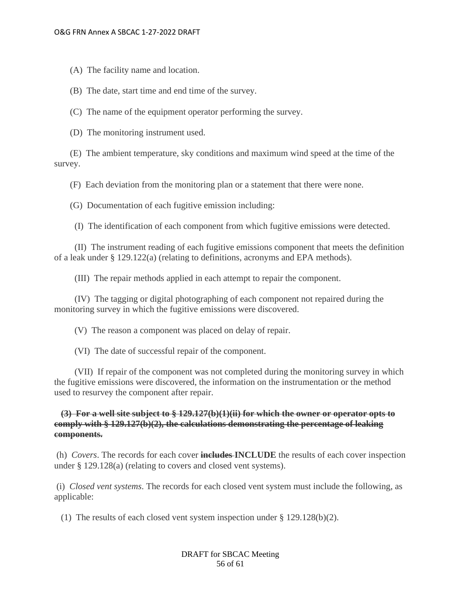(A) The facility name and location.

(B) The date, start time and end time of the survey.

(C) The name of the equipment operator performing the survey.

(D) The monitoring instrument used.

 (E) The ambient temperature, sky conditions and maximum wind speed at the time of the survey.

(F) Each deviation from the monitoring plan or a statement that there were none.

(G) Documentation of each fugitive emission including:

(I) The identification of each component from which fugitive emissions were detected.

 (II) The instrument reading of each fugitive emissions component that meets the definition of a leak under § 129.122(a) (relating to definitions, acronyms and EPA methods).

(III) The repair methods applied in each attempt to repair the component.

 (IV) The tagging or digital photographing of each component not repaired during the monitoring survey in which the fugitive emissions were discovered.

(V) The reason a component was placed on delay of repair.

(VI) The date of successful repair of the component.

 (VII) If repair of the component was not completed during the monitoring survey in which the fugitive emissions were discovered, the information on the instrumentation or the method used to resurvey the component after repair.

 **(3) For a well site subject to § 129.127(b)(1)(ii) for which the owner or operator opts to comply with § 129.127(b)(2), the calculations demonstrating the percentage of leaking components.**

(h) *Covers*. The records for each cover **includes INCLUDE** the results of each cover inspection under § 129.128(a) (relating to covers and closed vent systems).

(i) *Closed vent systems*. The records for each closed vent system must include the following, as applicable:

(1) The results of each closed vent system inspection under § 129.128(b)(2).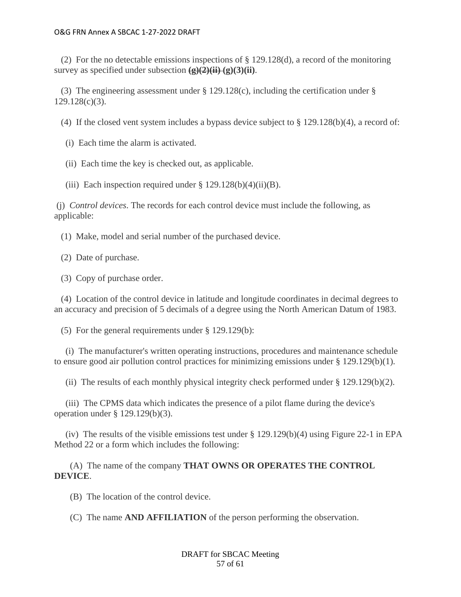(2) For the no detectable emissions inspections of  $\S 129.128(d)$ , a record of the monitoring survey as specified under subsection  $(g)(2)(ii)$   $(g)(3)(ii)$ .

 (3) The engineering assessment under § 129.128(c), including the certification under § 129.128(c)(3).

(4) If the closed vent system includes a bypass device subject to  $\S 129.128(b)(4)$ , a record of:

(i) Each time the alarm is activated.

(ii) Each time the key is checked out, as applicable.

(iii) Each inspection required under  $\S 129.128(b)(4)(ii)(B)$ .

(j) *Control devices*. The records for each control device must include the following, as applicable:

(1) Make, model and serial number of the purchased device.

(2) Date of purchase.

(3) Copy of purchase order.

 (4) Location of the control device in latitude and longitude coordinates in decimal degrees to an accuracy and precision of 5 decimals of a degree using the North American Datum of 1983.

(5) For the general requirements under § 129.129(b):

 (i) The manufacturer's written operating instructions, procedures and maintenance schedule to ensure good air pollution control practices for minimizing emissions under  $\S 129.129(b)(1)$ .

(ii) The results of each monthly physical integrity check performed under  $\S 129.129(b)(2)$ .

 (iii) The CPMS data which indicates the presence of a pilot flame during the device's operation under § 129.129(b)(3).

(iv) The results of the visible emissions test under  $\S 129.129(b)(4)$  using Figure 22-1 in EPA Method 22 or a form which includes the following:

 (A) The name of the company **THAT OWNS OR OPERATES THE CONTROL DEVICE**.

(B) The location of the control device.

(C) The name **AND AFFILIATION** of the person performing the observation.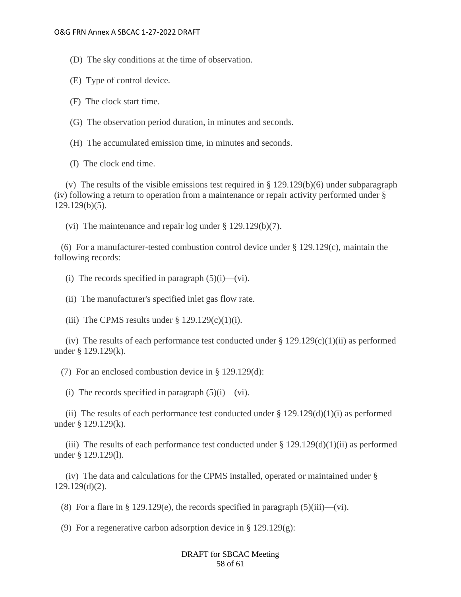(D) The sky conditions at the time of observation.

- (E) Type of control device.
- (F) The clock start time.
- (G) The observation period duration, in minutes and seconds.
- (H) The accumulated emission time, in minutes and seconds.
- (I) The clock end time.

(v) The results of the visible emissions test required in  $\S 129.129(b)(6)$  under subparagraph (iv) following a return to operation from a maintenance or repair activity performed under § 129.129(b)(5).

(vi) The maintenance and repair log under § 129.129(b)(7).

(6) For a manufacturer-tested combustion control device under  $\S 129.129(c)$ , maintain the following records:

(i) The records specified in paragraph  $(5)(i)$ —(vi).

(ii) The manufacturer's specified inlet gas flow rate.

(iii) The CPMS results under  $\S 129.129(c)(1)(i)$ .

(iv) The results of each performance test conducted under  $\S 129.129(c)(1)(ii)$  as performed under § 129.129(k).

(7) For an enclosed combustion device in § 129.129(d):

(i) The records specified in paragraph  $(5)(i)$ —(vi).

(ii) The results of each performance test conducted under  $\S 129.129(d)(1)(i)$  as performed under § 129.129(k).

(iii) The results of each performance test conducted under  $\S 129.129(d)(1)(ii)$  as performed under § 129.129(l).

 (iv) The data and calculations for the CPMS installed, operated or maintained under § 129.129(d)(2).

(8) For a flare in § 129.129(e), the records specified in paragraph  $(5)(iii)$ —(vi).

(9) For a regenerative carbon adsorption device in § 129.129(g):

## DRAFT for SBCAC Meeting 58 of 61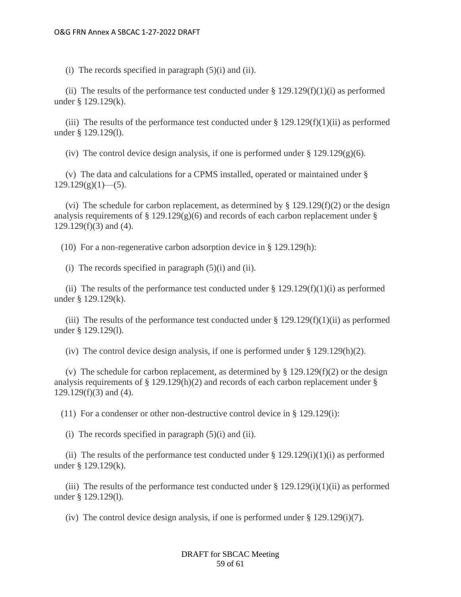(i) The records specified in paragraph  $(5)(i)$  and  $(ii)$ .

(ii) The results of the performance test conducted under  $\S 129.129(f)(1)(i)$  as performed under § 129.129(k).

(iii) The results of the performance test conducted under  $\S 129.129(f)(1)(ii)$  as performed under § 129.129(l).

(iv) The control device design analysis, if one is performed under  $\S 129.129(g)(6)$ .

 (v) The data and calculations for a CPMS installed, operated or maintained under §  $129.129(g)(1)$ —(5).

(vi) The schedule for carbon replacement, as determined by  $\S 129.129(f)(2)$  or the design analysis requirements of  $\S 129.129(g)(6)$  and records of each carbon replacement under  $\S$ 129.129(f)(3) and (4).

(10) For a non-regenerative carbon adsorption device in § 129.129(h):

(i) The records specified in paragraph  $(5)(i)$  and  $(ii)$ .

(ii) The results of the performance test conducted under  $\S 129.129(f)(1)(i)$  as performed under § 129.129(k).

(iii) The results of the performance test conducted under  $\S 129.129(f)(1)(ii)$  as performed under § 129.129(l).

(iv) The control device design analysis, if one is performed under  $\S 129.129(h)(2)$ .

(v) The schedule for carbon replacement, as determined by  $\S 129.129(f)(2)$  or the design analysis requirements of  $\S 129.129(h)(2)$  and records of each carbon replacement under  $\S$ 129.129(f)(3) and (4).

(11) For a condenser or other non-destructive control device in § 129.129(i):

(i) The records specified in paragraph  $(5)(i)$  and  $(ii)$ .

(ii) The results of the performance test conducted under  $\S 129.129(i)(1)(i)$  as performed under § 129.129(k).

(iii) The results of the performance test conducted under  $\S 129.129(i)(1)(ii)$  as performed under § 129.129(l).

(iv) The control device design analysis, if one is performed under § 129.129(i)(7).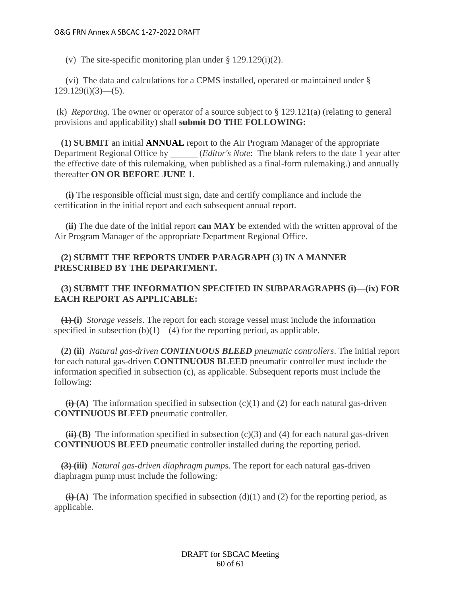(v) The site-specific monitoring plan under § 129.129(i)(2).

 (vi) The data and calculations for a CPMS installed, operated or maintained under §  $129.129(i)(3)$ —(5).

(k) *Reporting*. The owner or operator of a source subject to § 129.121(a) (relating to general provisions and applicability) shall **submit DO THE FOLLOWING:**

 **(1) SUBMIT** an initial **ANNUAL** report to the Air Program Manager of the appropriate Department Regional Office by \_\_\_\_\_\_ (*Editor's Note*: The blank refers to the date 1 year after the effective date of this rulemaking, when published as a final-form rulemaking.) and annually thereafter **ON OR BEFORE JUNE 1**.

 **(i)** The responsible official must sign, date and certify compliance and include the certification in the initial report and each subsequent annual report.

 **(ii)** The due date of the initial report **can MAY** be extended with the written approval of the Air Program Manager of the appropriate Department Regional Office.

# **(2) SUBMIT THE REPORTS UNDER PARAGRAPH (3) IN A MANNER PRESCRIBED BY THE DEPARTMENT.**

# **(3) SUBMIT THE INFORMATION SPECIFIED IN SUBPARAGRAPHS (i)—(ix) FOR EACH REPORT AS APPLICABLE:**

 **(1) (i)** *Storage vessels*. The report for each storage vessel must include the information specified in subsection  $(b)(1)$ — $(4)$  for the reporting period, as applicable.

 **(2) (ii)** *Natural gas-driven CONTINUOUS BLEED pneumatic controllers*. The initial report for each natural gas-driven **CONTINUOUS BLEED** pneumatic controller must include the information specified in subsection (c), as applicable. Subsequent reports must include the following:

 **The information specified in subsection (c)(1) and (2) for each natural gas-driven CONTINUOUS BLEED** pneumatic controller.

 $(H<sup>i</sup>)$  The information specified in subsection (c)(3) and (4) for each natural gas-driven **CONTINUOUS BLEED** pneumatic controller installed during the reporting period.

 **(3) (iii)** *Natural gas-driven diaphragm pumps*. The report for each natural gas-driven diaphragm pump must include the following:

 $\bigoplus$  **(i)** (A) The information specified in subsection (d)(1) and (2) for the reporting period, as applicable.